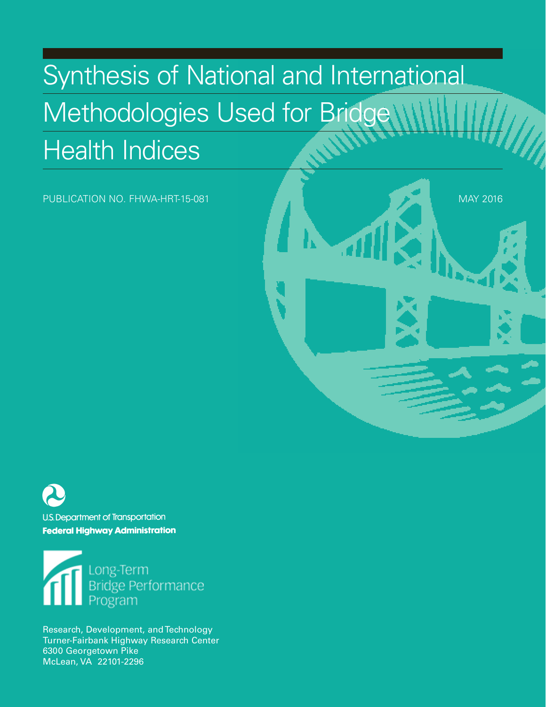# Synthesis of National and International Methodologies Used for Bridge Health Indices



U.S. Department of Transportation **Federal Highway Administration** 



Research, Development, and Technology Turner-Fairbank Highway Research Center 6300 Georgetown Pike McLean, VA 22101-2296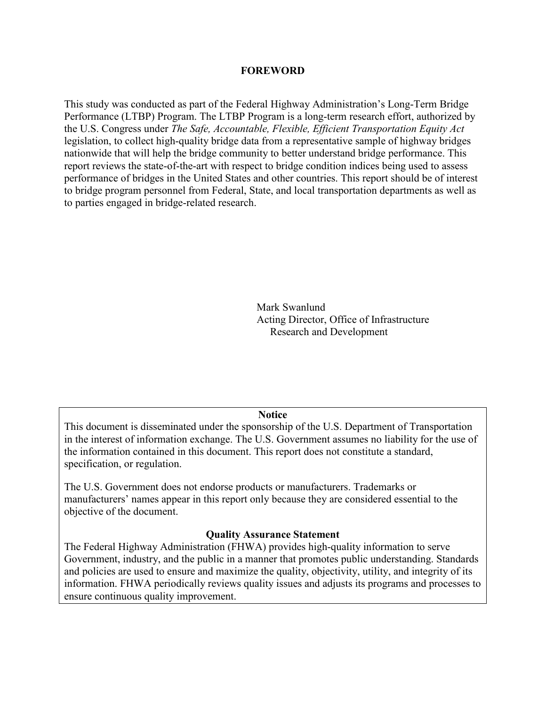#### **FOREWORD**

This study was conducted as part of the Federal Highway Administration's Long-Term Bridge Performance (LTBP) Program. The LTBP Program is a long-term research effort, authorized by the U.S. Congress under *The Safe, Accountable, Flexible, Efficient Transportation Equity Act* legislation, to collect high-quality bridge data from a representative sample of highway bridges nationwide that will help the bridge community to better understand bridge performance. This report reviews the state-of-the-art with respect to bridge condition indices being used to assess performance of bridges in the United States and other countries. This report should be of interest to bridge program personnel from Federal, State, and local transportation departments as well as to parties engaged in bridge-related research.

> Mark Swanlund Acting Director, Office of Infrastructure Research and Development

#### **Notice**

This document is disseminated under the sponsorship of the U.S. Department of Transportation in the interest of information exchange. The U.S. Government assumes no liability for the use of the information contained in this document. This report does not constitute a standard, specification, or regulation.

The U.S. Government does not endorse products or manufacturers. Trademarks or manufacturers' names appear in this report only because they are considered essential to the objective of the document.

#### **Quality Assurance Statement**

The Federal Highway Administration (FHWA) provides high-quality information to serve Government, industry, and the public in a manner that promotes public understanding. Standards and policies are used to ensure and maximize the quality, objectivity, utility, and integrity of its information. FHWA periodically reviews quality issues and adjusts its programs and processes to ensure continuous quality improvement.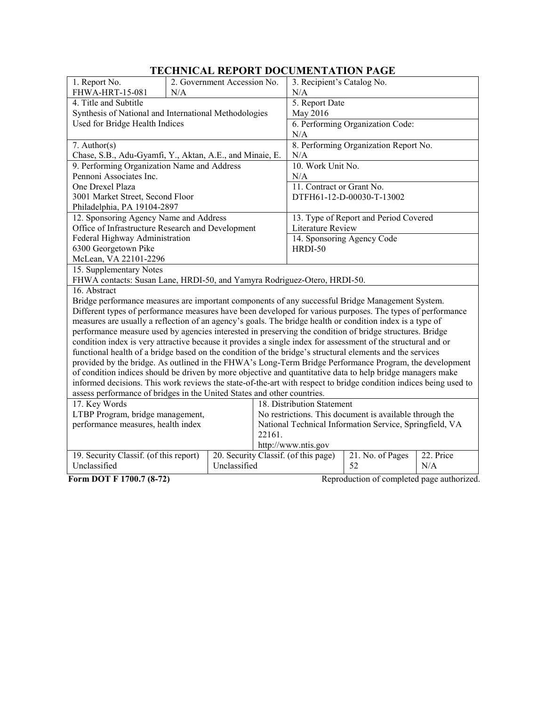# **TECHNICAL REPORT DOCUMENTATION PAGE**

| 1. Report No.                                                                                                     |  | 2. Government Accession No. |                                                         | 3. Recipient's Catalog No.           |                                                         |           |  |
|-------------------------------------------------------------------------------------------------------------------|--|-----------------------------|---------------------------------------------------------|--------------------------------------|---------------------------------------------------------|-----------|--|
| FHWA-HRT-15-081<br>N/A                                                                                            |  |                             |                                                         | N/A                                  |                                                         |           |  |
| 4. Title and Subtitle                                                                                             |  |                             |                                                         | 5. Report Date                       |                                                         |           |  |
| Synthesis of National and International Methodologies                                                             |  |                             |                                                         | May 2016                             |                                                         |           |  |
| Used for Bridge Health Indices                                                                                    |  |                             |                                                         | 6. Performing Organization Code:     |                                                         |           |  |
|                                                                                                                   |  |                             |                                                         | N/A                                  |                                                         |           |  |
| 7. Author( $s$ )                                                                                                  |  |                             |                                                         |                                      | 8. Performing Organization Report No.                   |           |  |
| Chase, S.B., Adu-Gyamfi, Y., Aktan, A.E., and Minaie, E.                                                          |  |                             |                                                         | N/A                                  |                                                         |           |  |
| 9. Performing Organization Name and Address                                                                       |  |                             |                                                         | 10. Work Unit No.                    |                                                         |           |  |
| Pennoni Associates Inc.                                                                                           |  |                             |                                                         | N/A                                  |                                                         |           |  |
| One Drexel Plaza                                                                                                  |  |                             |                                                         | 11. Contract or Grant No.            |                                                         |           |  |
| 3001 Market Street, Second Floor                                                                                  |  |                             |                                                         |                                      | DTFH61-12-D-00030-T-13002                               |           |  |
| Philadelphia, PA 19104-2897                                                                                       |  |                             |                                                         |                                      |                                                         |           |  |
| 12. Sponsoring Agency Name and Address                                                                            |  |                             |                                                         |                                      | 13. Type of Report and Period Covered                   |           |  |
| Office of Infrastructure Research and Development                                                                 |  |                             |                                                         | <b>Literature Review</b>             |                                                         |           |  |
| Federal Highway Administration                                                                                    |  |                             |                                                         |                                      | 14. Sponsoring Agency Code                              |           |  |
| 6300 Georgetown Pike                                                                                              |  |                             |                                                         | HRDI-50                              |                                                         |           |  |
| McLean, VA 22101-2296                                                                                             |  |                             |                                                         |                                      |                                                         |           |  |
| 15. Supplementary Notes                                                                                           |  |                             |                                                         |                                      |                                                         |           |  |
| FHWA contacts: Susan Lane, HRDI-50, and Yamyra Rodriguez-Otero, HRDI-50.                                          |  |                             |                                                         |                                      |                                                         |           |  |
| 16. Abstract                                                                                                      |  |                             |                                                         |                                      |                                                         |           |  |
| Bridge performance measures are important components of any successful Bridge Management System.                  |  |                             |                                                         |                                      |                                                         |           |  |
| Different types of performance measures have been developed for various purposes. The types of performance        |  |                             |                                                         |                                      |                                                         |           |  |
| measures are usually a reflection of an agency's goals. The bridge health or condition index is a type of         |  |                             |                                                         |                                      |                                                         |           |  |
| performance measure used by agencies interested in preserving the condition of bridge structures. Bridge          |  |                             |                                                         |                                      |                                                         |           |  |
| condition index is very attractive because it provides a single index for assessment of the structural and or     |  |                             |                                                         |                                      |                                                         |           |  |
| functional health of a bridge based on the condition of the bridge's structural elements and the services         |  |                             |                                                         |                                      |                                                         |           |  |
| provided by the bridge. As outlined in the FHWA's Long-Term Bridge Performance Program, the development           |  |                             |                                                         |                                      |                                                         |           |  |
| of condition indices should be driven by more objective and quantitative data to help bridge managers make        |  |                             |                                                         |                                      |                                                         |           |  |
| informed decisions. This work reviews the state-of-the-art with respect to bridge condition indices being used to |  |                             |                                                         |                                      |                                                         |           |  |
| assess performance of bridges in the United States and other countries.                                           |  |                             |                                                         |                                      |                                                         |           |  |
| 17. Key Words                                                                                                     |  |                             | 18. Distribution Statement                              |                                      |                                                         |           |  |
| LTBP Program, bridge management,                                                                                  |  |                             | No restrictions. This document is available through the |                                      |                                                         |           |  |
| performance measures, health index                                                                                |  |                             |                                                         |                                      | National Technical Information Service, Springfield, VA |           |  |
|                                                                                                                   |  |                             | 22161.                                                  |                                      |                                                         |           |  |
|                                                                                                                   |  |                             |                                                         | http://www.ntis.gov                  |                                                         |           |  |
| 19. Security Classif. (of this report)                                                                            |  |                             |                                                         | 20. Security Classif. (of this page) | 21. No. of Pages                                        | 22. Price |  |
| Unclassified                                                                                                      |  | Unclassified                |                                                         |                                      | 52                                                      | N/A       |  |
| Form DOT F 1700.7 (8-72)                                                                                          |  |                             |                                                         |                                      | Reproduction of completed page authorized.              |           |  |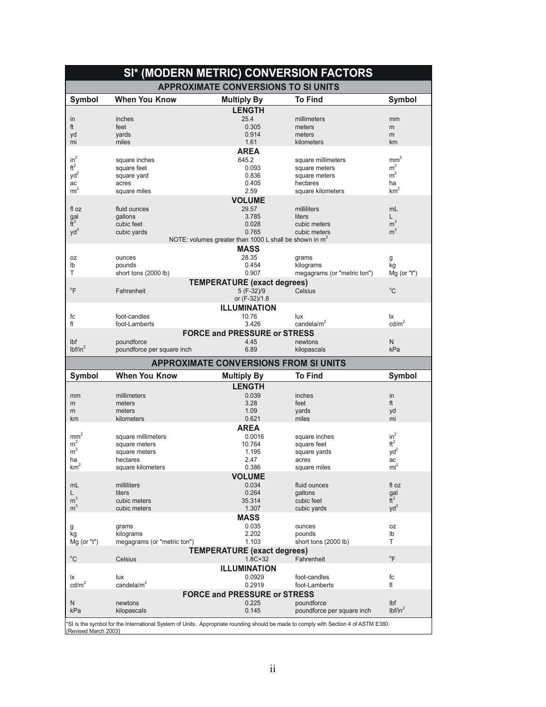|                            |                                          | SI* (MODERN METRIC) CONVERSION FACTORS                   |                                                                                                                                     |                       |
|----------------------------|------------------------------------------|----------------------------------------------------------|-------------------------------------------------------------------------------------------------------------------------------------|-----------------------|
|                            |                                          | <b>APPROXIMATE CONVERSIONS TO SI UNITS</b>               |                                                                                                                                     |                       |
| Symbol                     | <b>When You Know</b>                     | <b>Multiply By</b>                                       | <b>To Find</b>                                                                                                                      | Symbol                |
|                            |                                          | <b>LENGTH</b>                                            |                                                                                                                                     |                       |
| in                         | inches                                   | 25.4                                                     | millimeters                                                                                                                         | mm                    |
| ft                         | feet                                     | 0.305                                                    | meters                                                                                                                              | m                     |
| yd<br>mi                   | yards<br>miles                           | 0.914<br>1.61                                            | meters<br>kilometers                                                                                                                | m<br>km               |
|                            |                                          | <b>AREA</b>                                              |                                                                                                                                     |                       |
| $in^2$                     | square inches                            | 645.2                                                    | square millimeters                                                                                                                  | $\text{mm}^2$         |
| ft <sup>2</sup>            | square feet                              | 0.093                                                    | square meters                                                                                                                       | m <sup>2</sup>        |
| $yd^2$                     | square yard                              | 0.836                                                    | square meters                                                                                                                       | m <sup>2</sup>        |
| ac                         | acres                                    | 0.405                                                    | hectares                                                                                                                            | ha                    |
| mi <sup>2</sup>            | square miles                             | 2.59                                                     | square kilometers                                                                                                                   | km <sup>2</sup>       |
| fl oz                      | fluid ounces                             | <b>VOLUME</b><br>29.57                                   | milliliters                                                                                                                         | mL                    |
|                            | gallons                                  | 3.785                                                    | liters                                                                                                                              | L                     |
| $\frac{gal}{ft}$           | cubic feet                               | 0.028                                                    | cubic meters                                                                                                                        | m <sup>3</sup>        |
| $yd^3$                     | cubic yards                              | 0.765                                                    | cubic meters                                                                                                                        | m <sup>3</sup>        |
|                            |                                          | NOTE: volumes greater than 1000 L shall be shown in $m3$ |                                                                                                                                     |                       |
|                            |                                          | <b>MASS</b>                                              |                                                                                                                                     |                       |
| 0Z                         | ounces                                   | 28.35                                                    | grams                                                                                                                               | g                     |
| lb<br>Τ                    | pounds<br>short tons (2000 lb)           | 0.454<br>0.907                                           | kilograms<br>megagrams (or "metric ton")                                                                                            | kg<br>$Mg$ (or "t")   |
|                            |                                          | <b>TEMPERATURE (exact degrees)</b>                       |                                                                                                                                     |                       |
| $\mathrm{P}$               | Fahrenheit                               | 5 (F-32)/9                                               | Celsius                                                                                                                             | $^{\circ}$ C          |
|                            |                                          | or (F-32)/1.8                                            |                                                                                                                                     |                       |
|                            |                                          | <b>ILLUMINATION</b>                                      |                                                                                                                                     |                       |
| fc                         | foot-candles                             | 10.76                                                    | lux                                                                                                                                 | Ιx                    |
| fl                         | foot-Lamberts                            | 3.426                                                    | candela/ $m2$                                                                                                                       | cd/m <sup>2</sup>     |
|                            |                                          | <b>FORCE and PRESSURE or STRESS</b>                      |                                                                                                                                     |                       |
| Ibf<br>lbf/in <sup>2</sup> | poundforce                               | 4.45                                                     | newtons                                                                                                                             | N<br>kPa              |
|                            |                                          |                                                          |                                                                                                                                     |                       |
|                            | poundforce per square inch               | 6.89                                                     | kilopascals                                                                                                                         |                       |
|                            |                                          | <b>APPROXIMATE CONVERSIONS FROM SI UNITS</b>             |                                                                                                                                     |                       |
| Symbol                     | <b>When You Know</b>                     | <b>Multiply By</b>                                       | <b>To Find</b>                                                                                                                      | Symbol                |
|                            |                                          | <b>LENGTH</b>                                            |                                                                                                                                     |                       |
| mm                         | millimeters                              | 0.039                                                    | inches                                                                                                                              | in                    |
| m                          | meters                                   | 3.28                                                     | feet                                                                                                                                | ft                    |
| m<br>km                    | meters<br>kilometers                     | 1.09<br>0.621                                            | yards<br>miles                                                                                                                      | yd<br>mi              |
|                            |                                          | <b>AREA</b>                                              |                                                                                                                                     |                       |
| mm <sup>2</sup>            | square millimeters                       | 0.0016                                                   | square inches                                                                                                                       | $in^2$                |
| m <sup>2</sup>             | square meters                            | 10.764                                                   | square feet                                                                                                                         | $\mathrm{ft}^2$       |
| m <sup>2</sup>             | square meters                            | 1.195                                                    | square yards                                                                                                                        | $yd^2$                |
| ha                         | hectares                                 | 2.47                                                     | acres                                                                                                                               | ac                    |
| km                         | square kilometers                        | 0.386                                                    | square miles                                                                                                                        | mi <sup>2</sup>       |
| mL                         | milliliters                              | <b>VOLUME</b><br>0.034                                   | fluid ounces                                                                                                                        | fl oz                 |
| L                          | liters                                   | 0.264                                                    | gallons                                                                                                                             |                       |
| m <sup>3</sup>             | cubic meters                             | 35.314                                                   | cubic feet                                                                                                                          | $\frac{gal}{ft^3}$    |
| m <sup>3</sup>             | cubic meters                             | 1.307                                                    | cubic yards                                                                                                                         | $yd^3$                |
|                            |                                          | <b>MASS</b>                                              |                                                                                                                                     |                       |
| g                          | grams                                    | 0.035                                                    | ounces                                                                                                                              | 0Z                    |
| kg<br>$Mg$ (or "t")        | kilograms<br>megagrams (or "metric ton") | 2.202<br>1.103                                           | pounds<br>short tons (2000 lb)                                                                                                      | lb<br>T               |
|                            |                                          | <b>TEMPERATURE (exact degrees)</b>                       |                                                                                                                                     |                       |
| $^{\circ}C$                | Celsius                                  | $1.8C + 32$                                              | Fahrenheit                                                                                                                          | $\overline{F}$        |
|                            |                                          | <b>ILLUMINATION</b>                                      |                                                                                                                                     |                       |
| lχ                         | lux                                      | 0.0929                                                   | foot-candles                                                                                                                        | fc                    |
| $\text{cd/m}^2$            | candela/ $m2$                            | 0.2919                                                   | foot-Lamberts                                                                                                                       | fl                    |
|                            |                                          | <b>FORCE and PRESSURE or STRESS</b>                      |                                                                                                                                     |                       |
| N<br>kPa                   | newtons<br>kilopascals                   | 0.225<br>0.145                                           | poundforce<br>poundforce per square inch                                                                                            | Ibf<br>1 <sup>2</sup> |
|                            |                                          |                                                          | 'SI is the symbol for the International System of Units. Appropriate rounding should be made to comply with Section 4 of ASTM E380. |                       |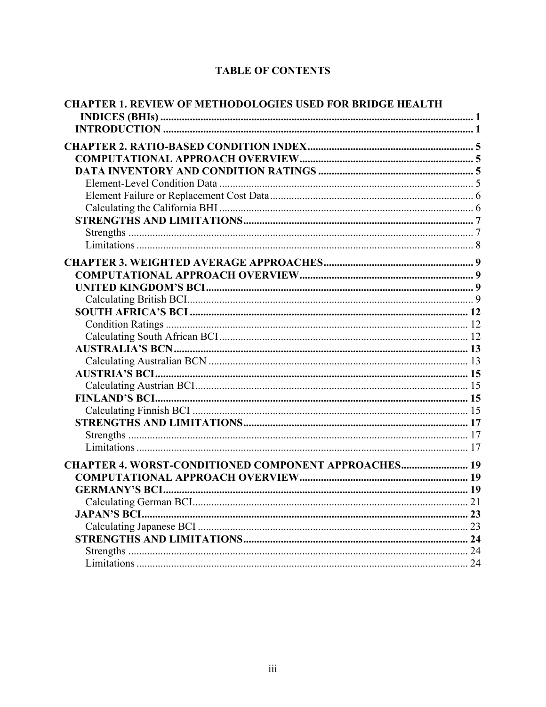# **TABLE OF CONTENTS**

| <b>CHAPTER 1. REVIEW OF METHODOLOGIES USED FOR BRIDGE HEALTH</b> |  |
|------------------------------------------------------------------|--|
|                                                                  |  |
|                                                                  |  |
|                                                                  |  |
|                                                                  |  |
|                                                                  |  |
|                                                                  |  |
|                                                                  |  |
|                                                                  |  |
|                                                                  |  |
|                                                                  |  |
|                                                                  |  |
|                                                                  |  |
|                                                                  |  |
|                                                                  |  |
|                                                                  |  |
|                                                                  |  |
|                                                                  |  |
|                                                                  |  |
|                                                                  |  |
|                                                                  |  |
|                                                                  |  |
|                                                                  |  |
|                                                                  |  |
|                                                                  |  |
|                                                                  |  |
|                                                                  |  |
|                                                                  |  |
| CHAPTER 4. WORST-CONDITIONED COMPONENT APPROACHES 19             |  |
|                                                                  |  |
|                                                                  |  |
|                                                                  |  |
|                                                                  |  |
|                                                                  |  |
|                                                                  |  |
|                                                                  |  |
|                                                                  |  |
|                                                                  |  |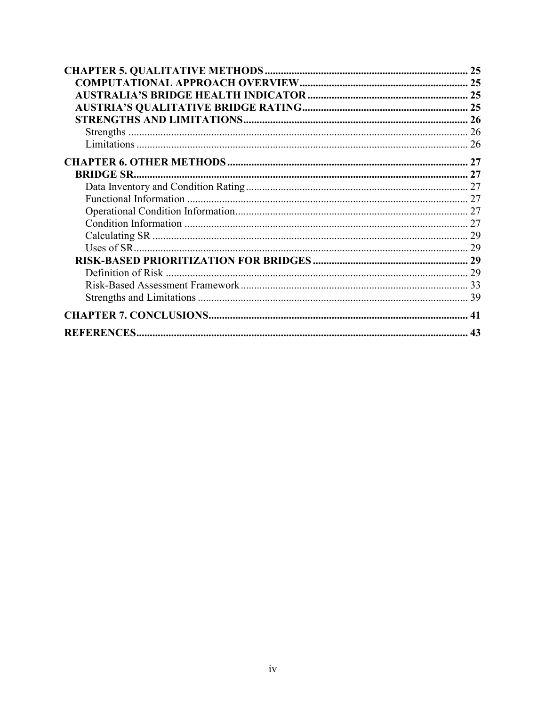| 26 |
|----|
|    |
|    |
|    |
| 27 |
|    |
|    |
|    |
|    |
|    |
|    |
|    |
|    |
|    |
| 41 |
| 43 |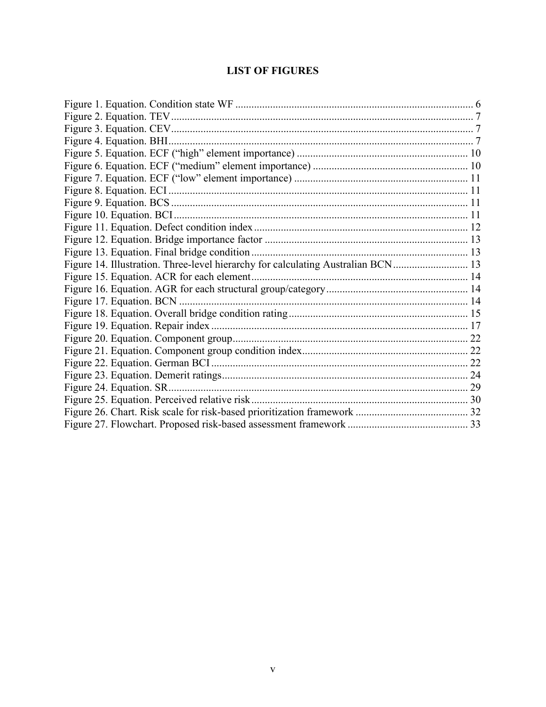# **LIST OF FIGURES**

| Figure 14. Illustration. Three-level hierarchy for calculating Australian BCN 13 |  |
|----------------------------------------------------------------------------------|--|
|                                                                                  |  |
|                                                                                  |  |
|                                                                                  |  |
|                                                                                  |  |
|                                                                                  |  |
|                                                                                  |  |
|                                                                                  |  |
|                                                                                  |  |
|                                                                                  |  |
|                                                                                  |  |
|                                                                                  |  |
|                                                                                  |  |
|                                                                                  |  |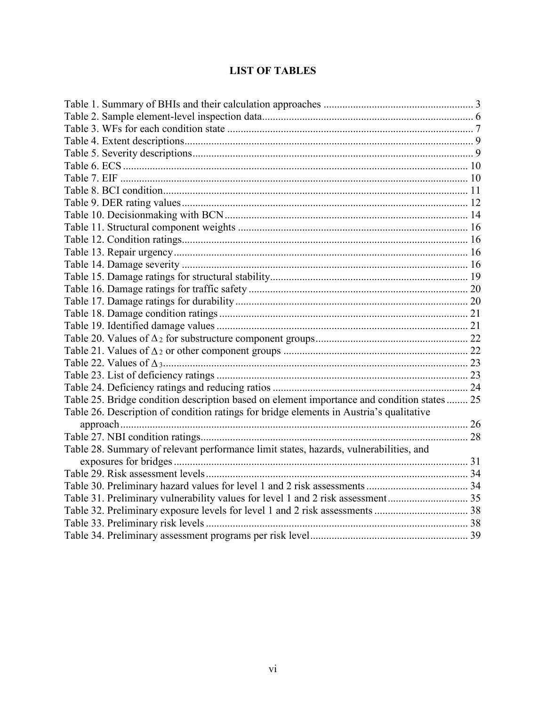# **LIST OF TABLES**

| Table 25. Bridge condition description based on element importance and condition states  25 |  |
|---------------------------------------------------------------------------------------------|--|
| Table 26. Description of condition ratings for bridge elements in Austria's qualitative     |  |
|                                                                                             |  |
|                                                                                             |  |
| Table 28. Summary of relevant performance limit states, hazards, vulnerabilities, and       |  |
|                                                                                             |  |
|                                                                                             |  |
|                                                                                             |  |
| Table 31. Preliminary vulnerability values for level 1 and 2 risk assessment 35             |  |
|                                                                                             |  |
|                                                                                             |  |
|                                                                                             |  |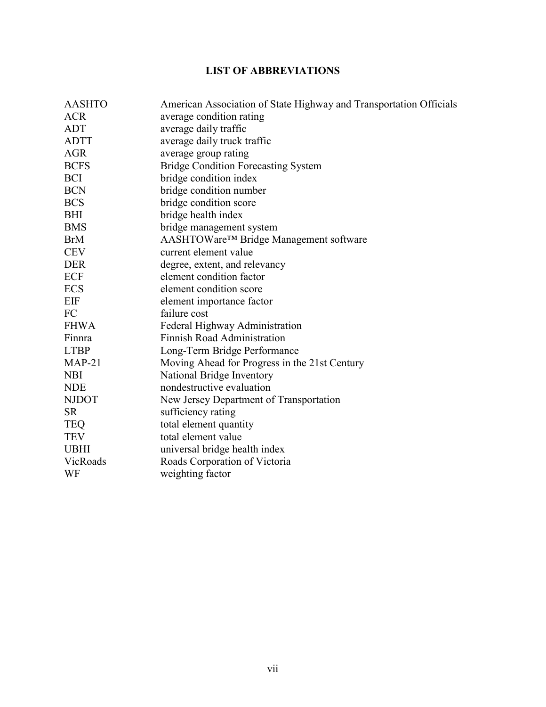# **LIST OF ABBREVIATIONS**

| <b>AASHTO</b> | American Association of State Highway and Transportation Officials |
|---------------|--------------------------------------------------------------------|
| <b>ACR</b>    | average condition rating                                           |
| <b>ADT</b>    | average daily traffic                                              |
| <b>ADTT</b>   | average daily truck traffic                                        |
| <b>AGR</b>    | average group rating                                               |
| <b>BCFS</b>   | <b>Bridge Condition Forecasting System</b>                         |
| <b>BCI</b>    | bridge condition index                                             |
| <b>BCN</b>    | bridge condition number                                            |
| <b>BCS</b>    | bridge condition score                                             |
| <b>BHI</b>    | bridge health index                                                |
| <b>BMS</b>    | bridge management system                                           |
| <b>BrM</b>    | AASHTOWare™ Bridge Management software                             |
| <b>CEV</b>    | current element value                                              |
| <b>DER</b>    | degree, extent, and relevancy                                      |
| ECF           | element condition factor                                           |
| <b>ECS</b>    | element condition score                                            |
| EIF           | element importance factor                                          |
| FC            | failure cost                                                       |
| <b>FHWA</b>   | Federal Highway Administration                                     |
| Finnra        | <b>Finnish Road Administration</b>                                 |
| <b>LTBP</b>   | Long-Term Bridge Performance                                       |
| $MAP-21$      | Moving Ahead for Progress in the 21st Century                      |
| <b>NBI</b>    | National Bridge Inventory                                          |
| <b>NDE</b>    | nondestructive evaluation                                          |
| <b>NJDOT</b>  | New Jersey Department of Transportation                            |
| <b>SR</b>     | sufficiency rating                                                 |
| <b>TEQ</b>    | total element quantity                                             |
| <b>TEV</b>    | total element value                                                |
| <b>UBHI</b>   | universal bridge health index                                      |
| VicRoads      | Roads Corporation of Victoria                                      |
| WF            | weighting factor                                                   |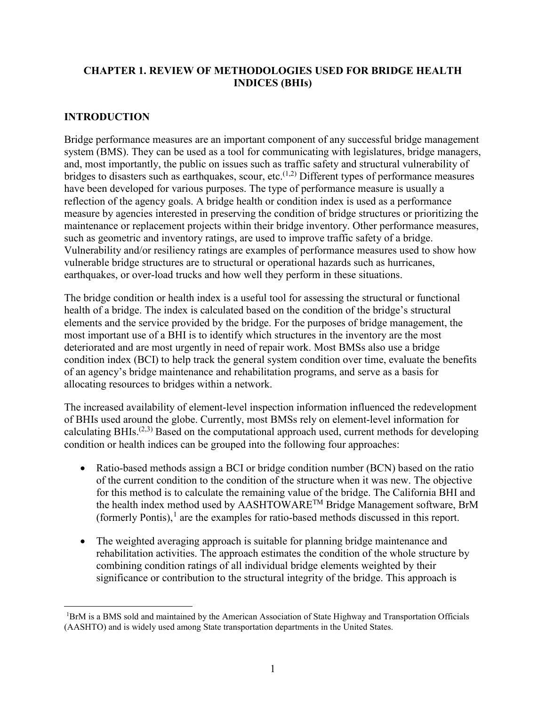## <span id="page-10-0"></span>**CHAPTER 1. REVIEW OF METHODOLOGIES USED FOR BRIDGE HEALTH INDICES (BHIs)**

# <span id="page-10-1"></span>**INTRODUCTION**

Bridge performance measures are an important component of any successful bridge management system (BMS). They can be used as a tool for communicating with legislatures, bridge managers, and, most importantly, the public on issues such as traffic safety and structural vulnerability of bridges to disasters such as earthquakes, scour, etc.<sup> $(1,2)$ </sup> Different types of performance measures have been developed for various purposes. The type of performance measure is usually a reflection of the agency goals. A bridge health or condition index is used as a performance measure by agencies interested in preserving the condition of bridge structures or prioritizing the maintenance or replacement projects within their bridge inventory. Other performance measures, such as geometric and inventory ratings, are used to improve traffic safety of a bridge. Vulnerability and/or resiliency ratings are examples of performance measures used to show how vulnerable bridge structures are to structural or operational hazards such as hurricanes, earthquakes, or over-load trucks and how well they perform in these situations.

The bridge condition or health index is a useful tool for assessing the structural or functional health of a bridge. The index is calculated based on the condition of the bridge's structural elements and the service provided by the bridge. For the purposes of bridge management, the most important use of a BHI is to identify which structures in the inventory are the most deteriorated and are most urgently in need of repair work. Most BMSs also use a bridge condition index (BCI) to help track the general system condition over time, evaluate the benefits of an agency's bridge maintenance and rehabilitation programs, and serve as a basis for allocating resources to bridges within a network.

The increased availability of element-level inspection information influenced the redevelopment of BHIs used around the globe. Currently, most BMSs rely on element-level information for calculating BHIs.<sup> $(2,3)$ </sup> Based on the computational approach used, current methods for developing condition or health indices can be grouped into the following four approaches:

- Ratio-based methods assign a BCI or bridge condition number (BCN) based on the ratio of the current condition to the condition of the structure when it was new. The objective for this method is to calculate the remaining value of the bridge. The California BHI and the health index method used by AASHTOWARETM Bridge Management software, BrM (formerly Pontis), $<sup>1</sup>$  $<sup>1</sup>$  $<sup>1</sup>$  are the examples for ratio-based methods discussed in this report.</sup>
- The weighted averaging approach is suitable for planning bridge maintenance and rehabilitation activities. The approach estimates the condition of the whole structure by combining condition ratings of all individual bridge elements weighted by their significance or contribution to the structural integrity of the bridge. This approach is

<span id="page-10-2"></span><sup>&</sup>lt;sup>1</sup>BrM is a BMS sold and maintained by the American Association of State Highway and Transportation Officials (AASHTO) and is widely used among State transportation departments in the United States.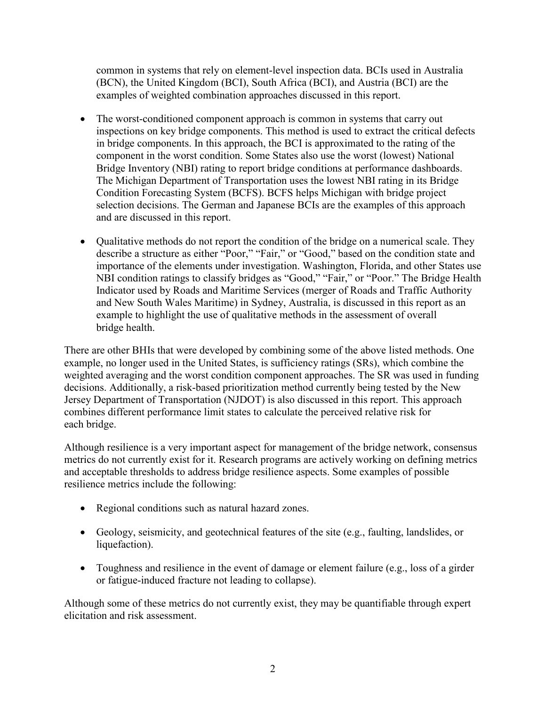common in systems that rely on element-level inspection data. BCIs used in Australia (BCN), the United Kingdom (BCI), South Africa (BCI), and Austria (BCI) are the examples of weighted combination approaches discussed in this report.

- The worst-conditioned component approach is common in systems that carry out inspections on key bridge components. This method is used to extract the critical defects in bridge components. In this approach, the BCI is approximated to the rating of the component in the worst condition. Some States also use the worst (lowest) National Bridge Inventory (NBI) rating to report bridge conditions at performance dashboards. The Michigan Department of Transportation uses the lowest NBI rating in its Bridge Condition Forecasting System (BCFS). BCFS helps Michigan with bridge project selection decisions. The German and Japanese BCIs are the examples of this approach and are discussed in this report.
- Qualitative methods do not report the condition of the bridge on a numerical scale. They describe a structure as either "Poor," "Fair," or "Good," based on the condition state and importance of the elements under investigation. Washington, Florida, and other States use NBI condition ratings to classify bridges as "Good," "Fair," or "Poor." The Bridge Health Indicator used by Roads and Maritime Services (merger of Roads and Traffic Authority and New South Wales Maritime) in Sydney, Australia, is discussed in this report as an example to highlight the use of qualitative methods in the assessment of overall bridge health.

There are other BHIs that were developed by combining some of the above listed methods. One example, no longer used in the United States, is sufficiency ratings (SRs), which combine the weighted averaging and the worst condition component approaches. The SR was used in funding decisions. Additionally, a risk-based prioritization method currently being tested by the New Jersey Department of Transportation (NJDOT) is also discussed in this report. This approach combines different performance limit states to calculate the perceived relative risk for each bridge.

Although resilience is a very important aspect for management of the bridge network, consensus metrics do not currently exist for it. Research programs are actively working on defining metrics and acceptable thresholds to address bridge resilience aspects. Some examples of possible resilience metrics include the following:

- Regional conditions such as natural hazard zones.
- Geology, seismicity, and geotechnical features of the site (e.g., faulting, landslides, or liquefaction).
- Toughness and resilience in the event of damage or element failure (e.g., loss of a girder or fatigue-induced fracture not leading to collapse).

Although some of these metrics do not currently exist, they may be quantifiable through expert elicitation and risk assessment.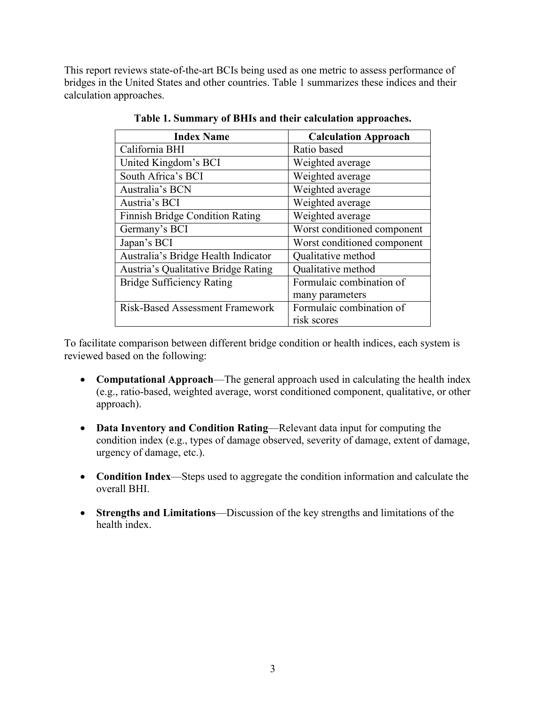<span id="page-12-0"></span>This report reviews state-of-the-art BCIs being used as one metric to assess performance of bridges in the United States and other countries. [Table 1](#page-12-0) summarizes these indices and their calculation approaches.

| <b>Index Name</b>                      | <b>Calculation Approach</b> |  |
|----------------------------------------|-----------------------------|--|
| California BHI                         | Ratio based                 |  |
| United Kingdom's BCI                   | Weighted average            |  |
| South Africa's BCI                     | Weighted average            |  |
| Australia's BCN                        | Weighted average            |  |
| Austria's BCI                          | Weighted average            |  |
| <b>Finnish Bridge Condition Rating</b> | Weighted average            |  |
| Germany's BCI                          | Worst conditioned component |  |
| Japan's BCI                            | Worst conditioned component |  |
| Australia's Bridge Health Indicator    | Qualitative method          |  |
| Austria's Qualitative Bridge Rating    | Qualitative method          |  |
| <b>Bridge Sufficiency Rating</b>       | Formulaic combination of    |  |
|                                        | many parameters             |  |
| Risk-Based Assessment Framework        | Formulaic combination of    |  |
|                                        | risk scores                 |  |

**Table 1. Summary of BHIs and their calculation approaches.**

To facilitate comparison between different bridge condition or health indices, each system is reviewed based on the following:

- **Computational Approach**—The general approach used in calculating the health index (e.g., ratio-based, weighted average, worst conditioned component, qualitative, or other approach).
- **Data Inventory and Condition Rating**—Relevant data input for computing the condition index (e.g., types of damage observed, severity of damage, extent of damage, urgency of damage, etc.).
- **Condition Index**—Steps used to aggregate the condition information and calculate the overall BHI.
- **Strengths and Limitations**—Discussion of the key strengths and limitations of the health index.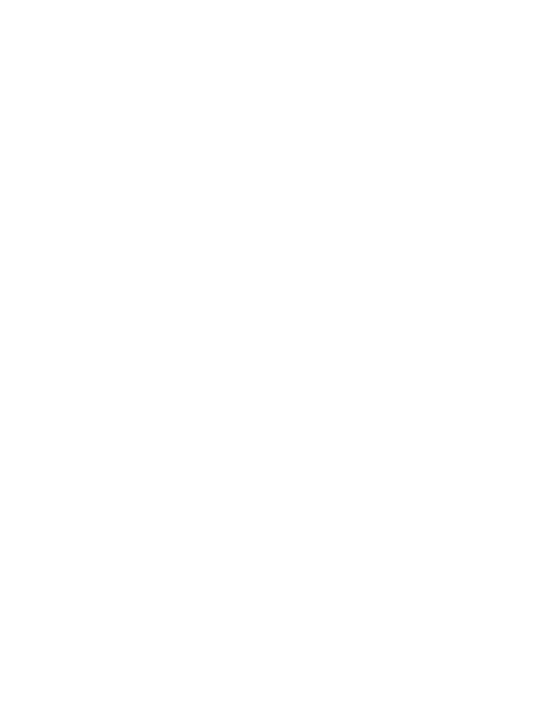<span id="page-13-0"></span>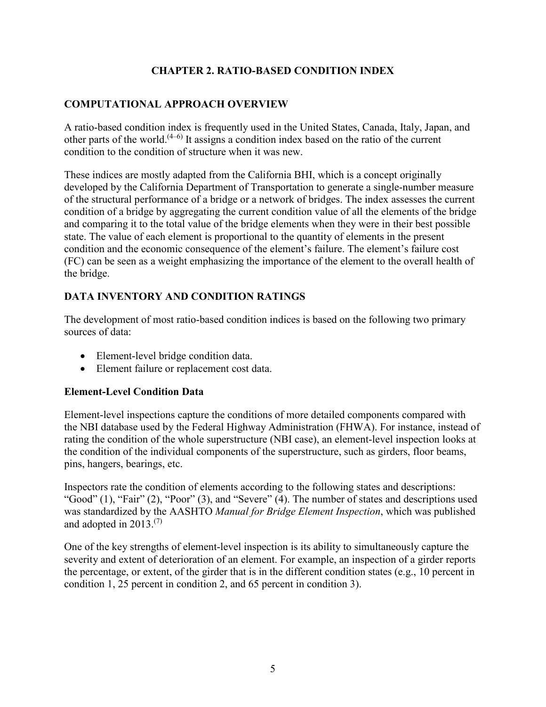# **CHAPTER 2. RATIO-BASED CONDITION INDEX**

# <span id="page-14-0"></span>**COMPUTATIONAL APPROACH OVERVIEW**

A ratio-based condition index is frequently used in the United States, Canada, Italy, Japan, and other parts of the world.<sup> $(4-6)$ </sup> It assigns a condition index based on the ratio of the current condition to the condition of structure when it was new.

These indices are mostly adapted from the California BHI, which is a concept originally developed by the California Department of Transportation to generate a single-number measure of the structural performance of a bridge or a network of bridges. The index assesses the current condition of a bridge by aggregating the current condition value of all the elements of the bridge and comparing it to the total value of the bridge elements when they were in their best possible state. The value of each element is proportional to the quantity of elements in the present condition and the economic consequence of the element's failure. The element's failure cost (FC) can be seen as a weight emphasizing the importance of the element to the overall health of the bridge.

# <span id="page-14-1"></span>**DATA INVENTORY AND CONDITION RATINGS**

The development of most ratio-based condition indices is based on the following two primary sources of data:

- Element-level bridge condition data.
- Element failure or replacement cost data.

#### <span id="page-14-2"></span>**Element-Level Condition Data**

Element-level inspections capture the conditions of more detailed components compared with the NBI database used by the Federal Highway Administration (FHWA). For instance, instead of rating the condition of the whole superstructure (NBI case), an element-level inspection looks at the condition of the individual components of the superstructure, such as girders, floor beams, pins, hangers, bearings, etc.

Inspectors rate the condition of elements according to the following states and descriptions: "Good" (1), "Fair" (2), "Poor" (3), and "Severe" (4). The number of states and descriptions used was standardized by the AASHTO *Manual for Bridge Element Inspection*, which was published and adopted in 2013.<sup>(7)</sup>

One of the key strengths of element-level inspection is its ability to simultaneously capture the severity and extent of deterioration of an element. For example, an inspection of a girder reports the percentage, or extent, of the girder that is in the different condition states (e.g., 10 percent in condition 1, 25 percent in condition 2, and 65 percent in condition 3).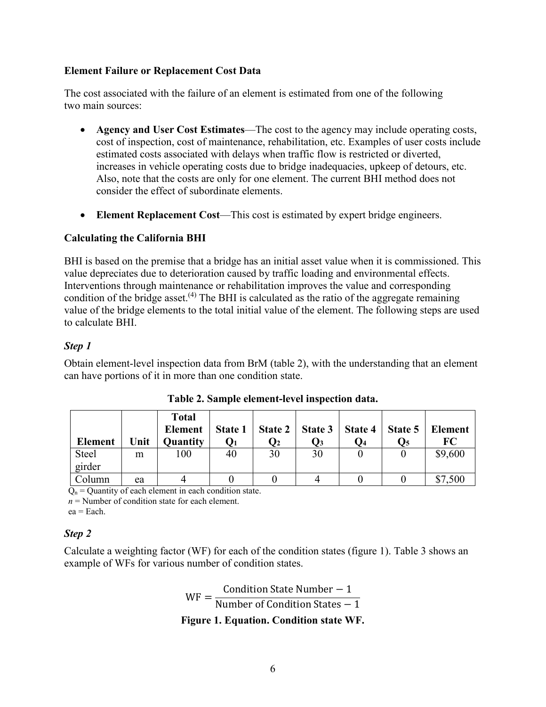## <span id="page-15-0"></span>**Element Failure or Replacement Cost Data**

The cost associated with the failure of an element is estimated from one of the following two main sources:

- **Agency and User Cost Estimates**—The cost to the agency may include operating costs, cost of inspection, cost of maintenance, rehabilitation, etc. Examples of user costs include estimated costs associated with delays when traffic flow is restricted or diverted, increases in vehicle operating costs due to bridge inadequacies, upkeep of detours, etc. Also, note that the costs are only for one element. The current BHI method does not consider the effect of subordinate elements.
- **Element Replacement Cost**—This cost is estimated by expert bridge engineers.

## <span id="page-15-1"></span>**Calculating the California BHI**

BHI is based on the premise that a bridge has an initial asset value when it is commissioned. This value depreciates due to deterioration caused by traffic loading and environmental effects. Interventions through maintenance or rehabilitation improves the value and corresponding condition of the bridge asset.<sup>(4)</sup> The BHI is calculated as the ratio of the aggregate remaining value of the bridge elements to the total initial value of the element. The following steps are used to calculate BHI.

#### *Step 1*

Obtain element-level inspection data from BrM [\(table 2\)](#page-15-3), with the understanding that an element can have portions of it in more than one condition state.

<span id="page-15-3"></span>

| <b>Element</b>   | Unit | <b>Total</b><br><b>Element</b><br><b>Quantity</b> | State 1<br>O1 | <b>State 2</b><br>$\mathbf{O}_2$ | <b>State 3</b><br>$\bf Q_3$ | <b>State 4</b><br>Q4 | <b>State 5</b><br>O5 | <b>Element</b><br>FC |
|------------------|------|---------------------------------------------------|---------------|----------------------------------|-----------------------------|----------------------|----------------------|----------------------|
| <b>Steel</b>     | m    | 100                                               | 40            | 30                               | 30                          |                      |                      | \$9,600              |
| girder<br>Column | ea   |                                                   |               |                                  |                             |                      |                      | \$7,500              |

|  |  |  | Table 2. Sample element-level inspection data. |  |  |
|--|--|--|------------------------------------------------|--|--|
|--|--|--|------------------------------------------------|--|--|

 $\overline{Q_n}$  = Quantity of each element in each condition state.

 $n =$ Number of condition state for each element.

 $ea = Each$ .

## *Step 2*

<span id="page-15-2"></span>Calculate a weighting factor (WF) for each of the condition states [\(figure 1\)](#page-15-2). [Table 3](#page-16-5) shows an example of WFs for various number of condition states.

$$
WF = \frac{Condition State Number - 1}{Number of Condition States - 1}
$$
  
Figure 1. Equation. Condition state WF.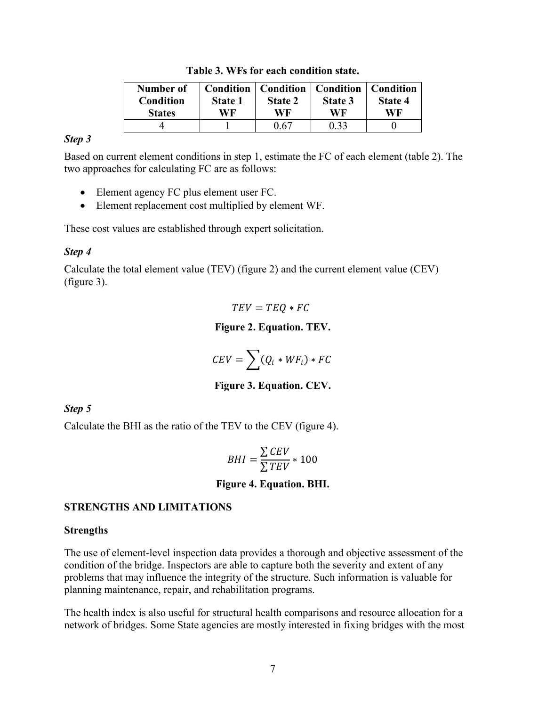<span id="page-16-5"></span>

| Number of<br>Condition | <b>Condition</b><br><b>State 1</b> | Condition<br>State 2 | <b>Condition</b><br>State 3 | $\blacksquare$ Condition<br>State 4 |
|------------------------|------------------------------------|----------------------|-----------------------------|-------------------------------------|
| <b>States</b>          | WF                                 | WF                   | <b>WF</b>                   | WF                                  |
|                        |                                    | 0.67                 | 0.33                        |                                     |

#### **Table 3. WFs for each condition state.**

#### *Step 3*

Based on current element conditions in step 1, estimate the FC of each element [\(table 2\)](#page-15-3). The two approaches for calculating FC are as follows:

- Element agency FC plus element user FC.
- Element replacement cost multiplied by element WF.

These cost values are established through expert solicitation.

#### *Step 4*

<span id="page-16-2"></span>Calculate the total element value (TEV) [\(figure 2\)](#page-16-2) and the current element value (CEV) [\(figure 3\)](#page-16-3).

$$
TEV = TEQ * FC
$$

#### **Figure 2. Equation. TEV.**

$$
\mathit{CEV} = \sum (Q_i * WF_i) * FC
$$

#### **Figure 3. Equation. CEV.**

<span id="page-16-3"></span>*Step 5*

Calculate the BHI as the ratio of the TEV to the CEV [\(figure 4\)](#page-16-4).

$$
BHI = \frac{\sum CEV}{\sum TEV} * 100
$$

#### **Figure 4. Equation. BHI.**

#### <span id="page-16-4"></span><span id="page-16-0"></span>**STRENGTHS AND LIMITATIONS**

#### <span id="page-16-1"></span>**Strengths**

The use of element-level inspection data provides a thorough and objective assessment of the condition of the bridge. Inspectors are able to capture both the severity and extent of any problems that may influence the integrity of the structure. Such information is valuable for planning maintenance, repair, and rehabilitation programs.

The health index is also useful for structural health comparisons and resource allocation for a network of bridges. Some State agencies are mostly interested in fixing bridges with the most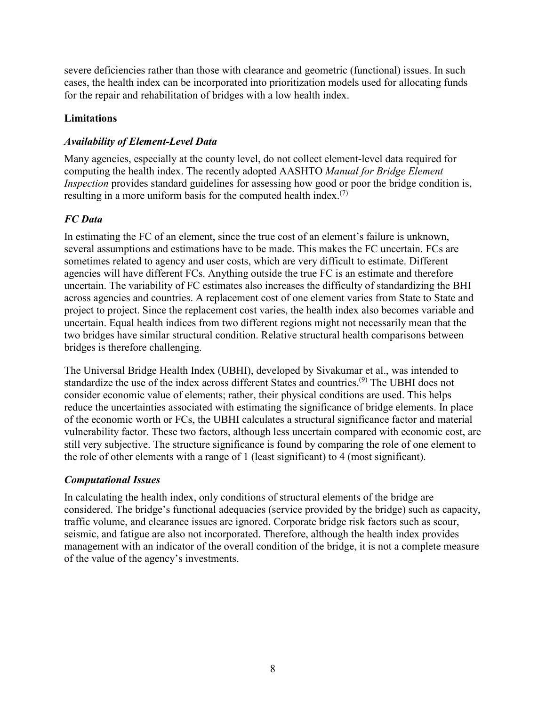severe deficiencies rather than those with clearance and geometric (functional) issues. In such cases, the health index can be incorporated into prioritization models used for allocating funds for the repair and rehabilitation of bridges with a low health index.

# <span id="page-17-0"></span>**Limitations**

# *Availability of Element-Level Data*

Many agencies, especially at the county level, do not collect element-level data required for computing the health index. The recently adopted AASHTO *Manual for Bridge Element Inspection* provides standard guidelines for assessing how good or poor the bridge condition is, resulting in a more uniform basis for the computed health index.<sup> $(7)$ </sup>

# *FC Data*

In estimating the FC of an element, since the true cost of an element's failure is unknown, several assumptions and estimations have to be made. This makes the FC uncertain. FCs are sometimes related to agency and user costs, which are very difficult to estimate. Different agencies will have different FCs. Anything outside the true FC is an estimate and therefore uncertain. The variability of FC estimates also increases the difficulty of standardizing the BHI across agencies and countries. A replacement cost of one element varies from State to State and project to project. Since the replacement cost varies, the health index also becomes variable and uncertain. Equal health indices from two different regions might not necessarily mean that the two bridges have similar structural condition. Relative structural health comparisons between bridges is therefore challenging.

The Universal Bridge Health Index (UBHI), developed by Sivakumar et al., was intended to standardize the use of the index across different States and countries.<sup>(9)</sup> The UBHI does not consider economic value of elements; rather, their physical conditions are used. This helps reduce the uncertainties associated with estimating the significance of bridge elements. In place of the economic worth or FCs, the UBHI calculates a structural significance factor and material vulnerability factor. These two factors, although less uncertain compared with economic cost, are still very subjective. The structure significance is found by comparing the role of one element to the role of other elements with a range of 1 (least significant) to 4 (most significant).

# *Computational Issues*

In calculating the health index, only conditions of structural elements of the bridge are considered. The bridge's functional adequacies (service provided by the bridge) such as capacity, traffic volume, and clearance issues are ignored. Corporate bridge risk factors such as scour, seismic, and fatigue are also not incorporated. Therefore, although the health index provides management with an indicator of the overall condition of the bridge, it is not a complete measure of the value of the agency's investments.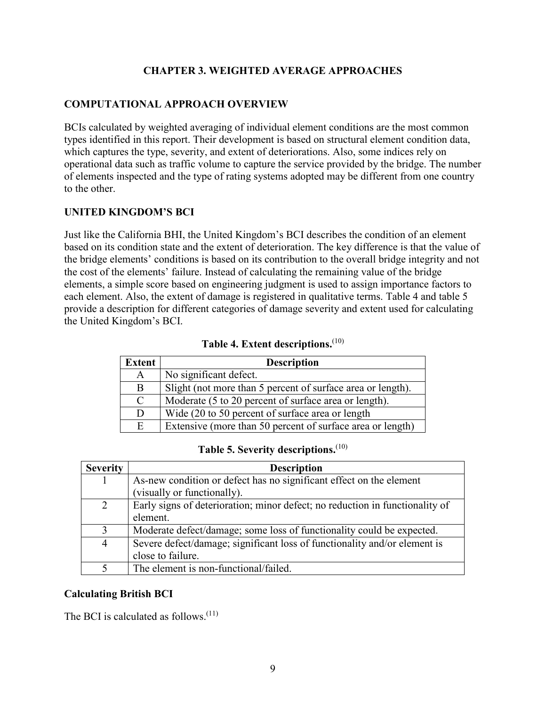## **CHAPTER 3. WEIGHTED AVERAGE APPROACHES**

## <span id="page-18-1"></span><span id="page-18-0"></span>**COMPUTATIONAL APPROACH OVERVIEW**

BCIs calculated by weighted averaging of individual element conditions are the most common types identified in this report. Their development is based on structural element condition data, which captures the type, severity, and extent of deteriorations. Also, some indices rely on operational data such as traffic volume to capture the service provided by the bridge. The number of elements inspected and the type of rating systems adopted may be different from one country to the other.

#### <span id="page-18-2"></span>**UNITED KINGDOM'S BCI**

Just like the California BHI, the United Kingdom's BCI describes the condition of an element based on its condition state and the extent of deterioration. The key difference is that the value of the bridge elements' conditions is based on its contribution to the overall bridge integrity and not the cost of the elements' failure. Instead of calculating the remaining value of the bridge elements, a simple score based on engineering judgment is used to assign importance factors to each element. Also, the extent of damage is registered in qualitative terms. [Table 4](#page-18-4) and [table 5](#page-18-5) provide a description for different categories of damage severity and extent used for calculating the United Kingdom's BCI.

# **Table 4. Extent descriptions.** (10)

<span id="page-18-4"></span>

| Extent        | <b>Description</b>                                          |
|---------------|-------------------------------------------------------------|
| $\mathbf{A}$  | No significant defect.                                      |
| B             | Slight (not more than 5 percent of surface area or length). |
| $\mathcal{C}$ | Moderate (5 to 20 percent of surface area or length).       |
| D             | Wide (20 to 50 percent of surface area or length            |
| E             | Extensive (more than 50 percent of surface area or length)  |

#### **Table 5. Severity descriptions.** (10)

<span id="page-18-5"></span>

| <b>Severity</b> | <b>Description</b>                                                           |
|-----------------|------------------------------------------------------------------------------|
|                 | As-new condition or defect has no significant effect on the element          |
|                 | (visually or functionally).                                                  |
| $\overline{2}$  | Early signs of deterioration; minor defect; no reduction in functionality of |
|                 | element.                                                                     |
| 3               | Moderate defect/damage; some loss of functionality could be expected.        |
| 4               | Severe defect/damage; significant loss of functionality and/or element is    |
|                 | close to failure.                                                            |
|                 | The element is non-functional/failed.                                        |

## <span id="page-18-3"></span>**Calculating British BCI**

The BCI is calculated as follows. $(11)$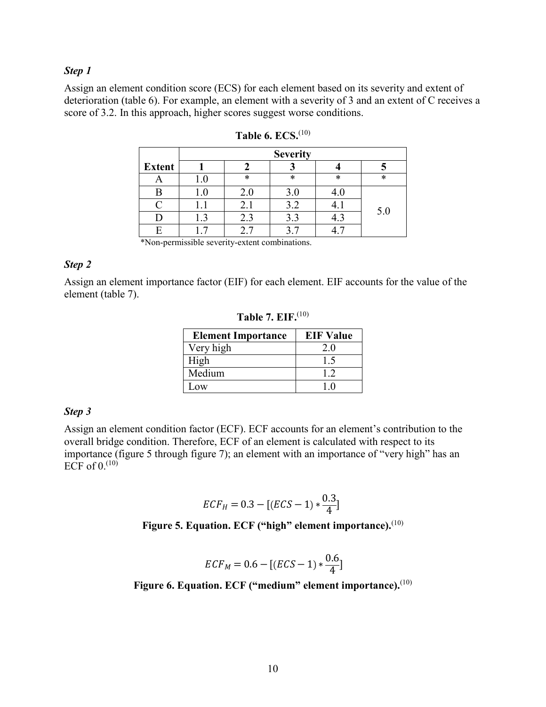#### *Step 1*

<span id="page-19-2"></span>Assign an element condition score (ECS) for each element based on its severity and extent of deterioration [\(table 6\)](#page-19-2). For example, an element with a severity of 3 and an extent of C receives a score of 3.2. In this approach, higher scores suggest worse conditions.

|        | <b>Severity</b> |     |        |        |        |
|--------|-----------------|-----|--------|--------|--------|
| Extent |                 |     |        |        |        |
| A      | $1.0\,$         | *   | $\ast$ | $\ast$ | $\ast$ |
| В      | $1.0\,$         | 2.0 | 3.0    | 4.U    |        |
|        |                 | 2.1 | 3.2    |        |        |
|        | $\cdot$ 3       | 2.3 | 3.3    |        | 5.0    |
| Н      |                 |     |        |        |        |

|  | Table 6. $\text{ECS}.^{(10)}$ |
|--|-------------------------------|
|--|-------------------------------|

\*Non-permissible severity-extent combinations.

#### *Step 2*

<span id="page-19-3"></span>Assign an element importance factor (EIF) for each element. EIF accounts for the value of the element [\(table 7\)](#page-19-3).

| Table 7. $EIF^{(10)}$ |  |  |  |
|-----------------------|--|--|--|
|-----------------------|--|--|--|

| <b>Element Importance</b> | <b>EIF Value</b> |
|---------------------------|------------------|
| Very high                 | 20               |
| High                      | 15               |
| Medium                    | 12               |
| Low                       | $\bigcap$        |

#### *Step 3*

Assign an element condition factor (ECF). ECF accounts for an element's contribution to the overall bridge condition. Therefore, ECF of an element is calculated with respect to its importance [\(figure 5](#page-19-0) through [figure 7\)](#page-20-0); an element with an importance of "very high" has an ECF of  $0.10$ <sup>(10)</sup>

$$
ECF_H = 0.3 - [(ECS - 1) * \frac{0.3}{4}]
$$

<span id="page-19-0"></span>**Figure 5. Equation. ECF ("high" element importance).** (10)

$$
ECF_M = 0.6 - [(ECS - 1) * \frac{0.6}{4}]
$$

<span id="page-19-1"></span>**Figure 6. Equation. ECF ("medium" element importance).** (10)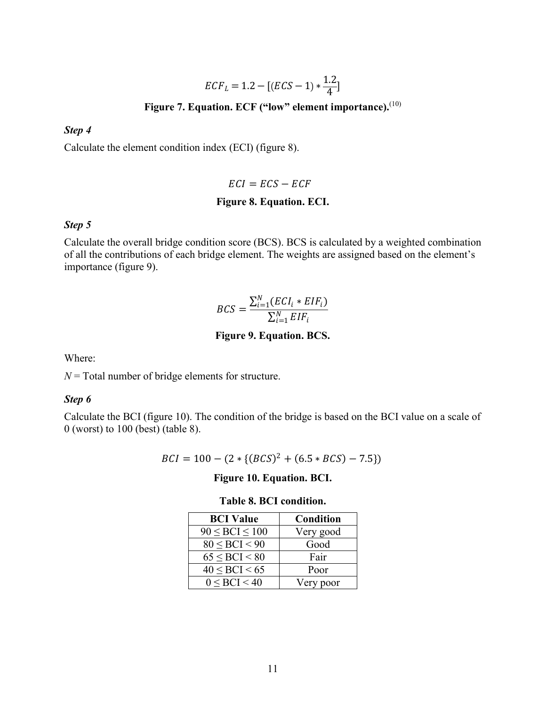$$
ECF_L = 1.2 - [(ECS - 1) * \frac{1.2}{4}]
$$

#### **Figure 7. Equation. ECF ("low" element importance).** (10)

#### <span id="page-20-0"></span>*Step 4*

Calculate the element condition index (ECI) [\(figure 8\)](#page-20-1).

$$
ECI = ECS - ECF
$$

#### **Figure 8. Equation. ECI.**

#### <span id="page-20-1"></span>*Step 5*

Calculate the overall bridge condition score (BCS). BCS is calculated by a weighted combination of all the contributions of each bridge element. The weights are assigned based on the element's importance [\(figure 9\)](#page-20-2).

$$
BCS = \frac{\sum_{i=1}^{N} (ECI_i * EIF_i)}{\sum_{i=1}^{N} EIF_i}
$$

#### **Figure 9. Equation. BCS.**

<span id="page-20-2"></span>Where:

*N* = Total number of bridge elements for structure.

#### *Step 6*

<span id="page-20-4"></span><span id="page-20-3"></span>Calculate the BCI [\(figure 10\)](#page-20-3). The condition of the bridge is based on the BCI value on a scale of 0 (worst) to 100 (best) [\(table 8\)](#page-20-4).

 $BCI = 100 - (2 * {(BCS)^{2} + (6.5 * BCS) - 7.5})$ 

#### **Figure 10. Equation. BCI.**

#### **Table 8. BCI condition.**

| <b>BCI</b> Value | Condition |
|------------------|-----------|
| 90 < BCI < 100   | Very good |
| 80 < BCI < 90    | Good      |
| 65 < BCI < 80    | Fair      |
| 40 < BCI < 65    | Poor      |
| 0 < BCI < 40     | Very poor |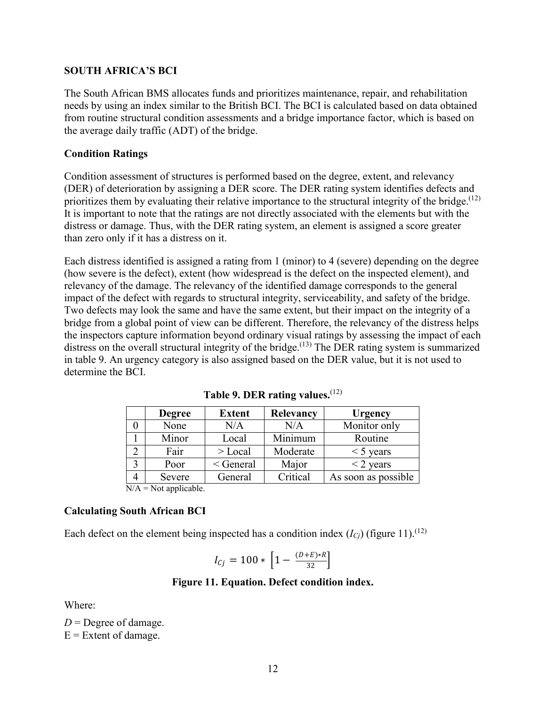#### <span id="page-21-0"></span>**SOUTH AFRICA'S BCI**

The South African BMS allocates funds and prioritizes maintenance, repair, and rehabilitation needs by using an index similar to the British BCI. The BCI is calculated based on data obtained from routine structural condition assessments and a bridge importance factor, which is based on the average daily traffic (ADT) of the bridge.

#### <span id="page-21-1"></span>**Condition Ratings**

Condition assessment of structures is performed based on the degree, extent, and relevancy (DER) of deterioration by assigning a DER score. The DER rating system identifies defects and prioritizes them by evaluating their relative importance to the structural integrity of the bridge.<sup> $(12)$ </sup> It is important to note that the ratings are not directly associated with the elements but with the distress or damage. Thus, with the DER rating system, an element is assigned a score greater than zero only if it has a distress on it.

Each distress identified is assigned a rating from 1 (minor) to 4 (severe) depending on the degree (how severe is the defect), extent (how widespread is the defect on the inspected element), and relevancy of the damage. The relevancy of the identified damage corresponds to the general impact of the defect with regards to structural integrity, serviceability, and safety of the bridge. Two defects may look the same and have the same extent, but their impact on the integrity of a bridge from a global point of view can be different. Therefore, the relevancy of the distress helps the inspectors capture information beyond ordinary visual ratings by assessing the impact of each distress on the overall structural integrity of the bridge.<sup> $(13)$ </sup> The DER rating system is summarized in [table 9.](#page-21-4) An urgency category is also assigned based on the DER value, but it is not used to determine the BCI.

<span id="page-21-4"></span>

| <b>Degree</b> | <b>Extent</b>  | Relevancy | <b>Urgency</b>      |
|---------------|----------------|-----------|---------------------|
| None          | N/A            | N/A       | Monitor only        |
| Minor         | Local          | Minimum   | Routine             |
| Fair          | $>$ Local      | Moderate  | $\leq$ 5 years      |
| Poor          | $\leq$ General | Major     | $\leq$ 2 years      |
| Severe        | General        | Critical  | As soon as possible |

**Table 9. DER rating values.** (12)

 $N/A$  = Not applicable.

## <span id="page-21-2"></span>**Calculating South African BCI**

Each defect on the element being inspected has a condition index  $(I_C)$  [\(figure 11\)](#page-21-3).<sup>(12)</sup>

$$
I_{Cj} = 100 * \left[1 - \frac{(D+E)*R}{32}\right]
$$

#### **Figure 11. Equation. Defect condition index.**

<span id="page-21-3"></span>Where:

 $D =$ Degree of damage.  $E =$  Extent of damage.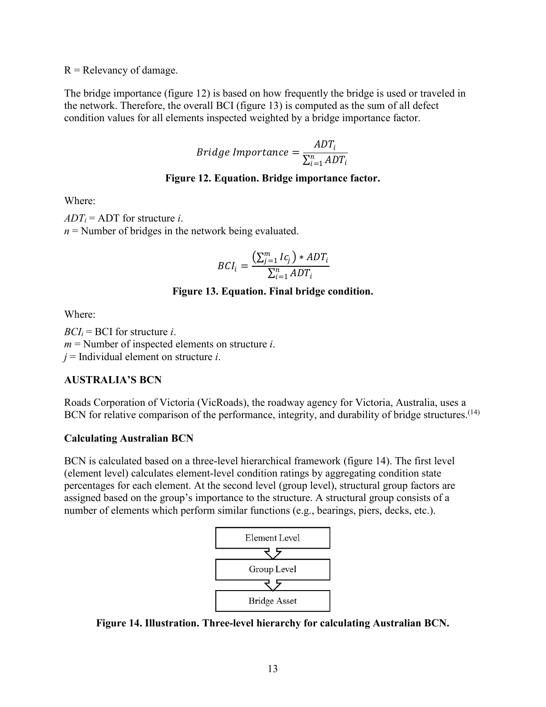$R$  = Relevancy of damage.

The bridge importance [\(figure 12\)](#page-22-2) is based on how frequently the bridge is used or traveled in the network. Therefore, the overall BCI [\(figure 13\)](#page-22-3) is computed as the sum of all defect condition values for all elements inspected weighted by a bridge importance factor.

$$
Bridge\;Importance = \frac{ADT_i}{\sum_{i=1}^{n} ADT_i}
$$

#### **Figure 12. Equation. Bridge importance factor.**

<span id="page-22-2"></span>Where:

*ADTi* = ADT for structure *i*.  $n =$  Number of bridges in the network being evaluated.

$$
BCI_i = \frac{\left(\sum_{j=1}^m Ic_j\right) * ADT_i}{\sum_{i=1}^n ADT_i}
$$

#### **Figure 13. Equation. Final bridge condition.**

<span id="page-22-3"></span>Where:

 $BCI_i = BCI$  for structure *i*. *m* = Number of inspected elements on structure *i*. *j* = Individual element on structure *i*.

## <span id="page-22-0"></span>**AUSTRALIA'S BCN**

Roads Corporation of Victoria (VicRoads), the roadway agency for Victoria, Australia, uses a BCN for relative comparison of the performance, integrity, and durability of bridge structures.<sup>(14)</sup>

## <span id="page-22-1"></span>**Calculating Australian BCN**

BCN is calculated based on a three-level hierarchical framework [\(figure 14\)](#page-22-4). The first level (element level) calculates element-level condition ratings by aggregating condition state percentages for each element. At the second level (group level), structural group factors are assigned based on the group's importance to the structure. A structural group consists of a number of elements which perform similar functions (e.g., bearings, piers, decks, etc.).



<span id="page-22-4"></span>**Figure 14. Illustration. Three-level hierarchy for calculating Australian BCN.**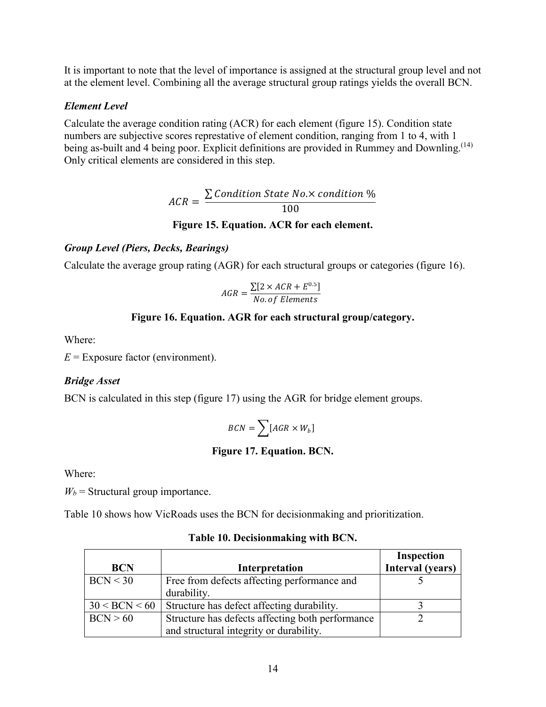It is important to note that the level of importance is assigned at the structural group level and not at the element level. Combining all the average structural group ratings yields the overall BCN.

#### *Element Level*

Calculate the average condition rating (ACR) for each element [\(figure 15\)](#page-23-0). Condition state numbers are subjective scores represtative of element condition, ranging from 1 to 4, with 1 being as-built and 4 being poor. Explicit definitions are provided in Rummey and Downling.<sup>(14)</sup> Only critical elements are considered in this step.

 $ACR = \frac{\sum Condition State No. \times condition \%}{100}$ 

#### **Figure 15. Equation. ACR for each element.**

#### <span id="page-23-0"></span>*Group Level (Piers, Decks, Bearings)*

Calculate the average group rating (AGR) for each structural groups or categories [\(figure 16\)](#page-23-1).

$$
AGR = \frac{\sum [2 \times ACR + E^{0.5}]}{No. of Elements}
$$

#### **Figure 16. Equation. AGR for each structural group/category.**

<span id="page-23-1"></span>Where:

 $E =$  Exposure factor (environment).

## *Bridge Asset*

BCN is calculated in this step [\(figure 17\)](#page-23-2) using the AGR for bridge element groups.

$$
BCN = \sum [AGR \times W_b]
$$

## **Figure 17. Equation. BCN.**

<span id="page-23-2"></span>Where:

 $W_b$  = Structural group importance.

<span id="page-23-3"></span>[Table 10](#page-23-3) shows how VicRoads uses the BCN for decisionmaking and prioritization.

|               |                                                  | Inspection       |
|---------------|--------------------------------------------------|------------------|
| <b>BCN</b>    | Interpretation                                   | Interval (years) |
| BCN < 30      | Free from defects affecting performance and      |                  |
|               | durability.                                      |                  |
| 30 < BCN < 60 | Structure has defect affecting durability.       |                  |
| BCN > 60      | Structure has defects affecting both performance |                  |
|               | and structural integrity or durability.          |                  |

#### **Table 10. Decisionmaking with BCN.**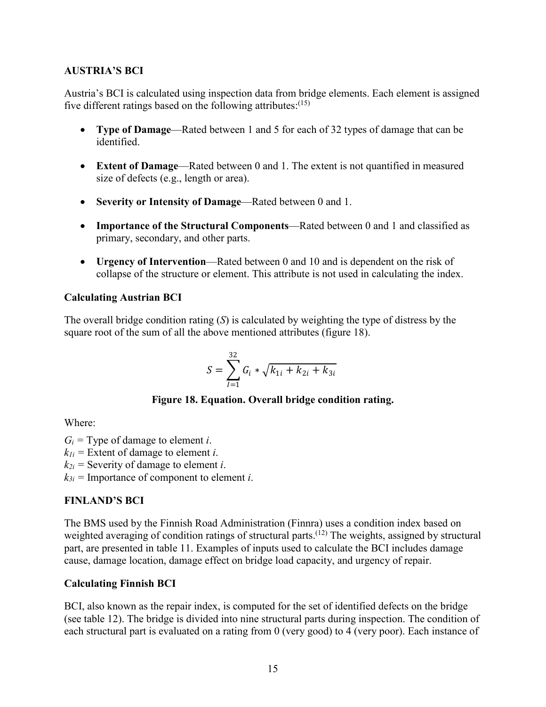## <span id="page-24-0"></span>**AUSTRIA'S BCI**

Austria's BCI is calculated using inspection data from bridge elements. Each element is assigned five different ratings based on the following attributes: $(15)$ 

- **Type of Damage**—Rated between 1 and 5 for each of 32 types of damage that can be identified.
- **Extent of Damage**—Rated between 0 and 1. The extent is not quantified in measured size of defects (e.g., length or area).
- **Severity or Intensity of Damage**—Rated between 0 and 1.
- **Importance of the Structural Components**—Rated between 0 and 1 and classified as primary, secondary, and other parts.
- **Urgency of Intervention**—Rated between 0 and 10 and is dependent on the risk of collapse of the structure or element. This attribute is not used in calculating the index.

# <span id="page-24-1"></span>**Calculating Austrian BCI**

The overall bridge condition rating (*S*) is calculated by weighting the type of distress by the square root of the sum of all the above mentioned attributes [\(figure 18\)](#page-24-4).

$$
S = \sum_{i=1}^{32} G_i * \sqrt{k_{1i} + k_{2i} + k_{3i}}
$$

# **Figure 18. Equation. Overall bridge condition rating.**

<span id="page-24-4"></span>Where:

 $G_i$  = Type of damage to element *i*.  $k_{li}$  = Extent of damage to element *i*.  $k_{2i}$  = Severity of damage to element *i*.

 $k_{3i}$  = Importance of component to element *i*.

# <span id="page-24-2"></span>**FINLAND'S BCI**

The BMS used by the Finnish Road Administration (Finnra) uses a condition index based on weighted averaging of condition ratings of structural parts.<sup>(12)</sup> The weights, assigned by structural part, are presented in [table 11.](#page-25-0) Examples of inputs used to calculate the BCI includes damage cause, damage location, damage effect on bridge load capacity, and urgency of repair.

# <span id="page-24-3"></span>**Calculating Finnish BCI**

BCI, also known as the repair index, is computed for the set of identified defects on the bridge (see [table 12\)](#page-25-1). The bridge is divided into nine structural parts during inspection. The condition of each structural part is evaluated on a rating from 0 (very good) to 4 (very poor). Each instance of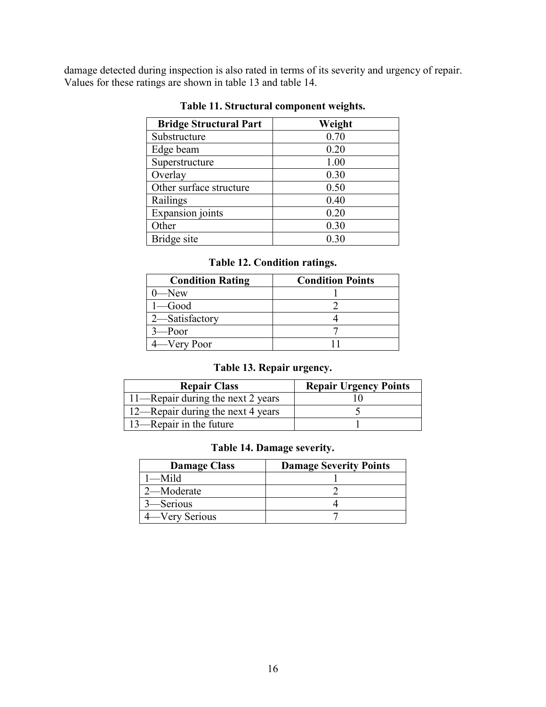<span id="page-25-0"></span>damage detected during inspection is also rated in terms of its severity and urgency of repair. Values for these ratings are shown in [table 13](#page-25-2) and [table 14.](#page-25-3)

| <b>Bridge Structural Part</b> | Weight |
|-------------------------------|--------|
| Substructure                  | 0.70   |
| Edge beam                     | 0.20   |
| Superstructure                | 1.00   |
| Overlay                       | 0.30   |
| Other surface structure       | 0.50   |
| Railings                      | 0.40   |
| Expansion joints              | 0.20   |
| Other                         | 0.30   |
| Bridge site                   | 0.30   |

## **Table 11. Structural component weights.**

# **Table 12. Condition ratings.**

<span id="page-25-1"></span>

| <b>Condition Rating</b> | <b>Condition Points</b> |
|-------------------------|-------------------------|
| $0$ —New                |                         |
| $1 - Good$              |                         |
| 2-Satisfactory          |                         |
| $3$ —Poor               |                         |
| 4—Very Poor             |                         |

# **Table 13. Repair urgency.**

<span id="page-25-3"></span><span id="page-25-2"></span>

| <b>Repair Class</b>               | <b>Repair Urgency Points</b> |
|-----------------------------------|------------------------------|
| 11—Repair during the next 2 years |                              |
| 12—Repair during the next 4 years |                              |
| 13—Repair in the future           |                              |

## **Table 14. Damage severity.**

| <b>Damage Class</b> | <b>Damage Severity Points</b> |
|---------------------|-------------------------------|
| 1—Mild              |                               |
| 2-Moderate          |                               |
| 3—Serious           |                               |
| 4—Very Serious      |                               |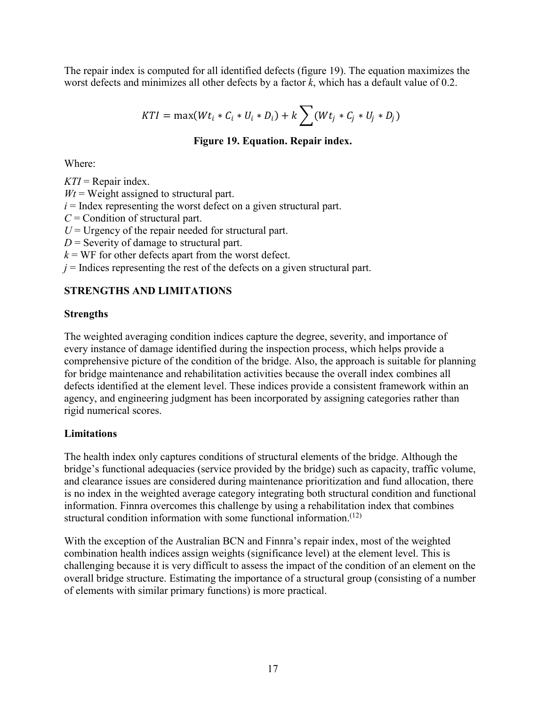The repair index is computed for all identified defects [\(figure 19\)](#page-26-3). The equation maximizes the worst defects and minimizes all other defects by a factor *k*, which has a default value of 0.2.

$$
KTI = \max(Wt_i * C_i * U_i * D_i) + k \sum (Wt_j * C_j * U_j * D_j)
$$

## **Figure 19. Equation. Repair index.**

<span id="page-26-3"></span>Where:

*KTI* = Repair index.  $Wt$  = Weight assigned to structural part.  $i =$  Index representing the worst defect on a given structural part. *C* = Condition of structural part.  $U =$  Urgency of the repair needed for structural part. *D* = Severity of damage to structural part.  $k = WF$  for other defects apart from the worst defect.  $j$  = Indices representing the rest of the defects on a given structural part.

# <span id="page-26-0"></span>**STRENGTHS AND LIMITATIONS**

## <span id="page-26-1"></span>**Strengths**

The weighted averaging condition indices capture the degree, severity, and importance of every instance of damage identified during the inspection process, which helps provide a comprehensive picture of the condition of the bridge. Also, the approach is suitable for planning for bridge maintenance and rehabilitation activities because the overall index combines all defects identified at the element level. These indices provide a consistent framework within an agency, and engineering judgment has been incorporated by assigning categories rather than rigid numerical scores.

## <span id="page-26-2"></span>**Limitations**

The health index only captures conditions of structural elements of the bridge. Although the bridge's functional adequacies (service provided by the bridge) such as capacity, traffic volume, and clearance issues are considered during maintenance prioritization and fund allocation, there is no index in the weighted average category integrating both structural condition and functional information. Finnra overcomes this challenge by using a rehabilitation index that combines structural condition information with some functional information.(12)

With the exception of the Australian BCN and Finnra's repair index, most of the weighted combination health indices assign weights (significance level) at the element level. This is challenging because it is very difficult to assess the impact of the condition of an element on the overall bridge structure. Estimating the importance of a structural group (consisting of a number of elements with similar primary functions) is more practical.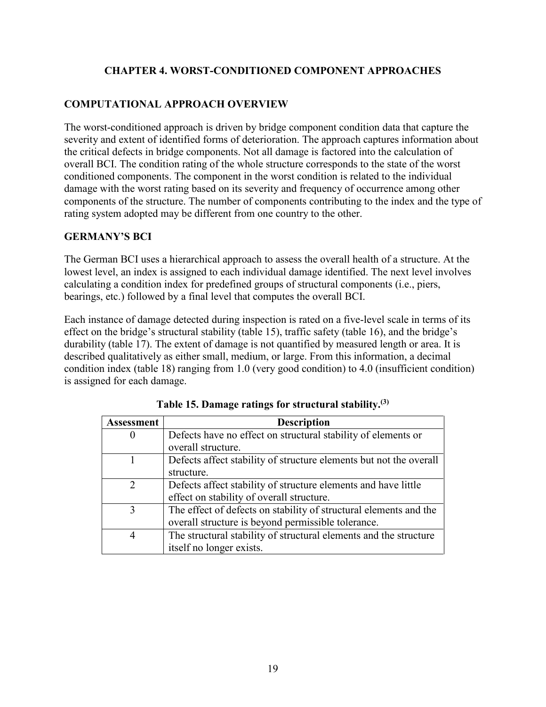# **CHAPTER 4. WORST-CONDITIONED COMPONENT APPROACHES**

## <span id="page-28-1"></span><span id="page-28-0"></span>**COMPUTATIONAL APPROACH OVERVIEW**

The worst-conditioned approach is driven by bridge component condition data that capture the severity and extent of identified forms of deterioration. The approach captures information about the critical defects in bridge components. Not all damage is factored into the calculation of overall BCI. The condition rating of the whole structure corresponds to the state of the worst conditioned components. The component in the worst condition is related to the individual damage with the worst rating based on its severity and frequency of occurrence among other components of the structure. The number of components contributing to the index and the type of rating system adopted may be different from one country to the other.

## <span id="page-28-2"></span>**GERMANY'S BCI**

The German BCI uses a hierarchical approach to assess the overall health of a structure. At the lowest level, an index is assigned to each individual damage identified. The next level involves calculating a condition index for predefined groups of structural components (i.e., piers, bearings, etc.) followed by a final level that computes the overall BCI.

Each instance of damage detected during inspection is rated on a five-level scale in terms of its effect on the bridge's structural stability [\(table 15\)](#page-28-3), traffic safety [\(table 16\)](#page-29-0), and the bridge's durability [\(table 17\)](#page-29-1). The extent of damage is not quantified by measured length or area. It is described qualitatively as either small, medium, or large. From this information, a decimal condition index [\(table 18\)](#page-30-1) ranging from 1.0 (very good condition) to 4.0 (insufficient condition) is assigned for each damage.

<span id="page-28-3"></span>

| <b>Assessment</b> | <b>Description</b>                                                 |  |  |  |
|-------------------|--------------------------------------------------------------------|--|--|--|
| 0                 | Defects have no effect on structural stability of elements or      |  |  |  |
|                   | overall structure.                                                 |  |  |  |
|                   | Defects affect stability of structure elements but not the overall |  |  |  |
|                   | structure.                                                         |  |  |  |
| $\sum_{i=1}^{n}$  | Defects affect stability of structure elements and have little     |  |  |  |
|                   | effect on stability of overall structure.                          |  |  |  |
| 3                 | The effect of defects on stability of structural elements and the  |  |  |  |
|                   | overall structure is beyond permissible tolerance.                 |  |  |  |
| 4                 | The structural stability of structural elements and the structure  |  |  |  |
|                   | itself no longer exists.                                           |  |  |  |

**Table 15. Damage ratings for structural stability. (3)**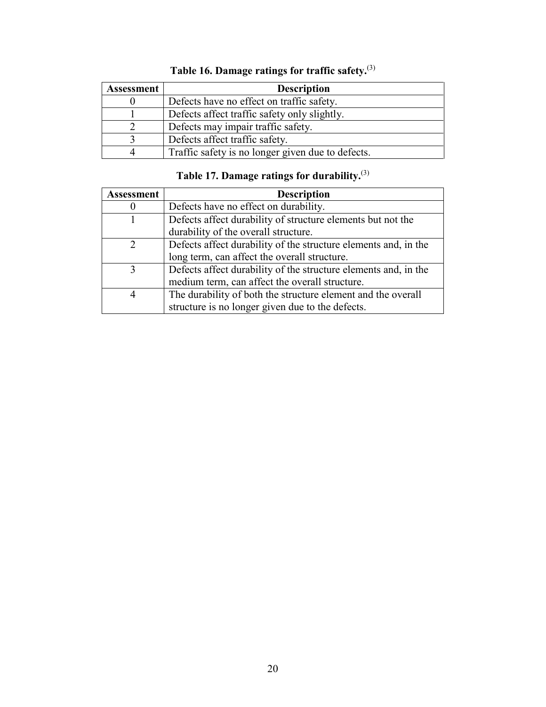<span id="page-29-0"></span>

| Assessment  | <b>Description</b>                                |  |  |
|-------------|---------------------------------------------------|--|--|
|             | Defects have no effect on traffic safety.         |  |  |
|             | Defects affect traffic safety only slightly.      |  |  |
|             | Defects may impair traffic safety.                |  |  |
| $\mathbf 3$ | Defects affect traffic safety.                    |  |  |
|             | Traffic safety is no longer given due to defects. |  |  |

#### **Table 16. Damage ratings for traffic safety.** (3)

#### **Table 17. Damage ratings for durability.** (3)

<span id="page-29-1"></span>

| <b>Assessment</b> | <b>Description</b>                                              |  |  |  |
|-------------------|-----------------------------------------------------------------|--|--|--|
| $\theta$          | Defects have no effect on durability.                           |  |  |  |
|                   | Defects affect durability of structure elements but not the     |  |  |  |
|                   | durability of the overall structure.                            |  |  |  |
| $\mathfrak{D}$    | Defects affect durability of the structure elements and, in the |  |  |  |
|                   | long term, can affect the overall structure.                    |  |  |  |
| 3                 | Defects affect durability of the structure elements and, in the |  |  |  |
|                   | medium term, can affect the overall structure.                  |  |  |  |
| $\overline{4}$    | The durability of both the structure element and the overall    |  |  |  |
|                   | structure is no longer given due to the defects.                |  |  |  |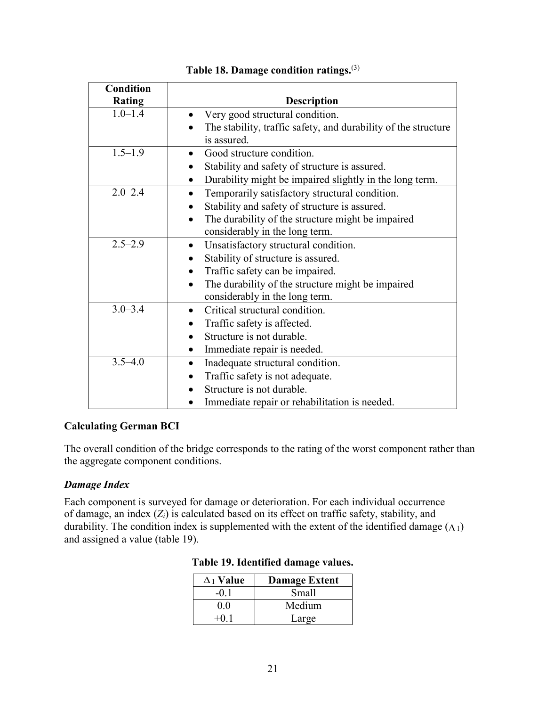<span id="page-30-1"></span>

| <b>Condition</b> |                                                                      |  |  |  |
|------------------|----------------------------------------------------------------------|--|--|--|
| <b>Rating</b>    | <b>Description</b>                                                   |  |  |  |
| $1.0 - 1.4$      | Very good structural condition.                                      |  |  |  |
|                  | The stability, traffic safety, and durability of the structure       |  |  |  |
|                  | is assured.                                                          |  |  |  |
| $1.5 - 1.9$      | Good structure condition.                                            |  |  |  |
|                  | Stability and safety of structure is assured.                        |  |  |  |
|                  | Durability might be impaired slightly in the long term.<br>$\bullet$ |  |  |  |
| $2.0 - 2.4$      | Temporarily satisfactory structural condition.<br>$\bullet$          |  |  |  |
|                  | Stability and safety of structure is assured.<br>$\bullet$           |  |  |  |
|                  | The durability of the structure might be impaired<br>$\bullet$       |  |  |  |
|                  | considerably in the long term.                                       |  |  |  |
| $2.5 - 2.9$      | Unsatisfactory structural condition.<br>$\bullet$                    |  |  |  |
|                  | Stability of structure is assured.<br>$\bullet$                      |  |  |  |
|                  | Traffic safety can be impaired.<br>$\bullet$                         |  |  |  |
|                  | The durability of the structure might be impaired<br>$\bullet$       |  |  |  |
|                  | considerably in the long term.                                       |  |  |  |
| $3.0 - 3.4$      | Critical structural condition.                                       |  |  |  |
|                  | Traffic safety is affected.                                          |  |  |  |
|                  | Structure is not durable.                                            |  |  |  |
|                  | Immediate repair is needed.<br>٠                                     |  |  |  |
| $3.5 - 4.0$      | Inadequate structural condition.<br>$\bullet$                        |  |  |  |
|                  | Traffic safety is not adequate.<br>$\bullet$                         |  |  |  |
|                  | Structure is not durable.                                            |  |  |  |
|                  | Immediate repair or rehabilitation is needed.                        |  |  |  |

# **Table 18. Damage condition ratings.** (3)

#### <span id="page-30-0"></span>**Calculating German BCI**

The overall condition of the bridge corresponds to the rating of the worst component rather than the aggregate component conditions.

## *Damage Index*

<span id="page-30-2"></span>Each component is surveyed for damage or deterioration. For each individual occurrence of damage, an index (*Zi*) is calculated based on its effect on traffic safety, stability, and durability. The condition index is supplemented with the extent of the identified damage  $(\Delta_1)$ and assigned a value [\(table 19\)](#page-30-2).

| $\Delta_1$ Value | <b>Damage Extent</b> |
|------------------|----------------------|
| $-01$            | Small                |
| 00               | Medium               |
| $+01$            | Large                |

#### **Table 19. Identified damage values.**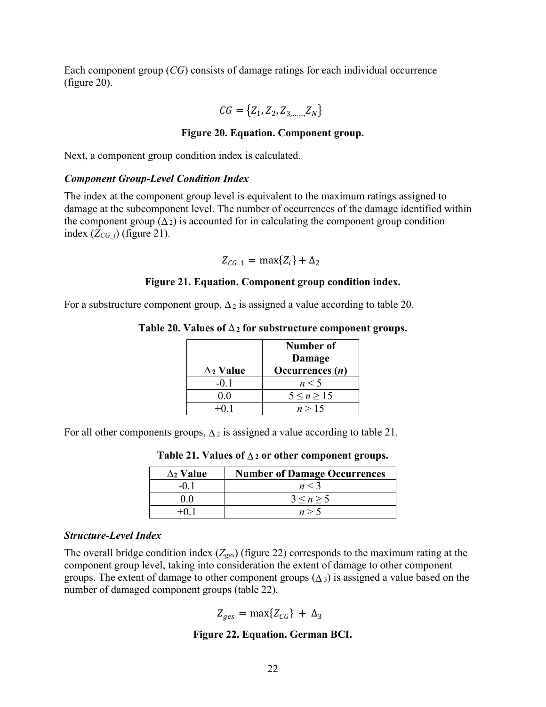Each component group (*CG*) consists of damage ratings for each individual occurrence [\(figure 20\)](#page-31-0).

$$
CG = \{Z_1, Z_2, Z_{3, \dots, Z_N}\}
$$

#### **Figure 20. Equation. Component group.**

<span id="page-31-0"></span>Next, a component group condition index is calculated.

#### *Component Group-Level Condition Index*

The index at the component group level is equivalent to the maximum ratings assigned to damage at the subcomponent level. The number of occurrences of the damage identified within the component group  $(\Delta_2)$  is accounted for in calculating the component group condition index  $(Z_{CG~i})$  [\(figure 21\)](#page-31-1).

$$
Z_{CG\_1} = \max\{Z_i\} + \Delta_2
$$

## **Figure 21. Equation. Component group condition index.**

<span id="page-31-3"></span><span id="page-31-1"></span>For a substructure component group,  $\Delta_2$  is assigned a value according to [table 20.](#page-31-3)

|                             | Number of         |
|-----------------------------|-------------------|
|                             | Damage            |
| $\Delta$ <sub>2</sub> Value | Occurrences $(n)$ |
| -0 1                        | $n \leq 5$        |
| 00                          | $5 \le n \ge 15$  |
|                             | n > 15            |

## Table 20. Values of  $\Delta_2$  for substructure component groups.

<span id="page-31-4"></span>For all other components groups,  $\Delta z$  is assigned a value according to [table 21.](#page-31-4)

| $\Delta$ <sub>2</sub> Value | <b>Number of Damage Occurrences</b> |
|-----------------------------|-------------------------------------|
| $-()$ 1                     | n < 3                               |
| 0 O                         | $3 \le n \ge 5$                     |
|                             | n > 5                               |

#### *Structure-Level Index*

<span id="page-31-2"></span>The overall bridge condition index (*Zges*) [\(figure 22\)](#page-31-2) corresponds to the maximum rating at the component group level, taking into consideration the extent of damage to other component groups. The extent of damage to other component groups  $(\Delta_3)$  is assigned a value based on the number of damaged component groups [\(table 22\)](#page-32-2).

$$
Z_{ges} = \max\{Z_{CG}\} + \Delta_3
$$

## **Figure 22. Equation. German BCI.**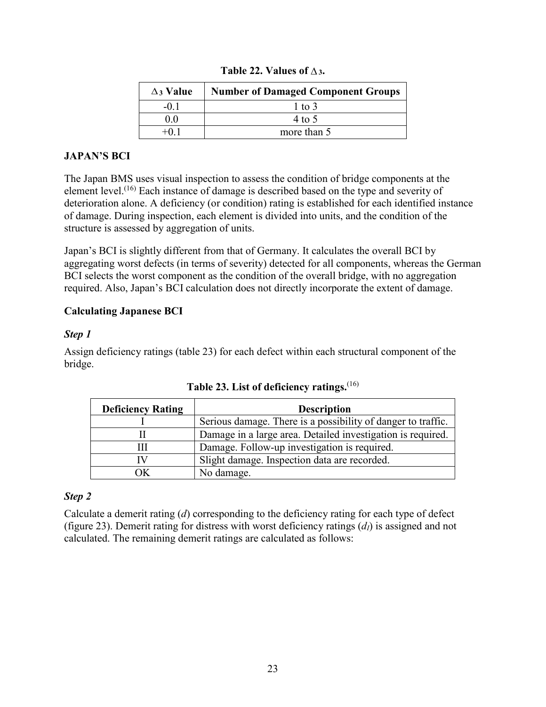<span id="page-32-2"></span>

| $\Delta$ <sub>3</sub> Value | <b>Number of Damaged Component Groups</b> |  |  |  |
|-----------------------------|-------------------------------------------|--|--|--|
| $-01$                       | $1$ to $3$                                |  |  |  |
| 00                          | 4 to 5                                    |  |  |  |
| $+01$                       | more than 5                               |  |  |  |

## Table 22. Values of  $\Delta$ 3.

## <span id="page-32-0"></span>**JAPAN'S BCI**

The Japan BMS uses visual inspection to assess the condition of bridge components at the element level.(16) Each instance of damage is described based on the type and severity of deterioration alone. A deficiency (or condition) rating is established for each identified instance of damage. During inspection, each element is divided into units, and the condition of the structure is assessed by aggregation of units.

Japan's BCI is slightly different from that of Germany. It calculates the overall BCI by aggregating worst defects (in terms of severity) detected for all components, whereas the German BCI selects the worst component as the condition of the overall bridge, with no aggregation required. Also, Japan's BCI calculation does not directly incorporate the extent of damage.

## <span id="page-32-1"></span>**Calculating Japanese BCI**

#### *Step 1*

Assign deficiency ratings [\(table 23\)](#page-32-3) for each defect within each structural component of the bridge.

<span id="page-32-3"></span>

| <b>Deficiency Rating</b> | <b>Description</b>                                           |
|--------------------------|--------------------------------------------------------------|
|                          | Serious damage. There is a possibility of danger to traffic. |
|                          | Damage in a large area. Detailed investigation is required.  |
|                          | Damage. Follow-up investigation is required.                 |
| IV                       | Slight damage. Inspection data are recorded.                 |
|                          | No damage.                                                   |

|  |  |  |  |  |  | Table 23. List of deficiency ratings. (16) |  |
|--|--|--|--|--|--|--------------------------------------------|--|
|--|--|--|--|--|--|--------------------------------------------|--|

#### *Step 2*

Calculate a demerit rating (*d*) corresponding to the deficiency rating for each type of defect [\(figure 23\)](#page-33-3). Demerit rating for distress with worst deficiency ratings  $(d<sub>I</sub>)$  is assigned and not calculated. The remaining demerit ratings are calculated as follows: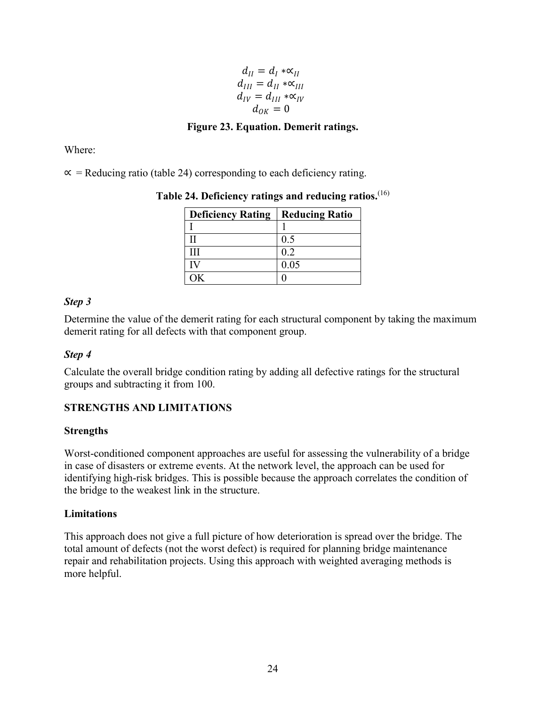$$
d_{II} = d_I * \alpha_{II}
$$
  
\n
$$
d_{III} = d_{II} * \alpha_{III}
$$
  
\n
$$
d_{IV} = d_{III} * \alpha_{IV}
$$
  
\n
$$
d_{OK} = 0
$$

## **Figure 23. Equation. Demerit ratings.**

<span id="page-33-3"></span>Where:

<span id="page-33-4"></span> $\alpha$  = Reducing ratio [\(table 24\)](#page-33-4) corresponding to each deficiency rating.

| <b>Deficiency Rating</b> | <b>Reducing Ratio</b> |
|--------------------------|-----------------------|
|                          |                       |
|                          | 0.5                   |
| III                      | 0.2                   |
|                          | 0.05                  |
|                          |                       |

# **Table 24. Deficiency ratings and reducing ratios.** (16)

# *Step 3*

Determine the value of the demerit rating for each structural component by taking the maximum demerit rating for all defects with that component group.

## *Step 4*

Calculate the overall bridge condition rating by adding all defective ratings for the structural groups and subtracting it from 100.

# <span id="page-33-0"></span>**STRENGTHS AND LIMITATIONS**

## <span id="page-33-1"></span>**Strengths**

Worst-conditioned component approaches are useful for assessing the vulnerability of a bridge in case of disasters or extreme events. At the network level, the approach can be used for identifying high-risk bridges. This is possible because the approach correlates the condition of the bridge to the weakest link in the structure.

## <span id="page-33-2"></span>**Limitations**

This approach does not give a full picture of how deterioration is spread over the bridge. The total amount of defects (not the worst defect) is required for planning bridge maintenance repair and rehabilitation projects. Using this approach with weighted averaging methods is more helpful.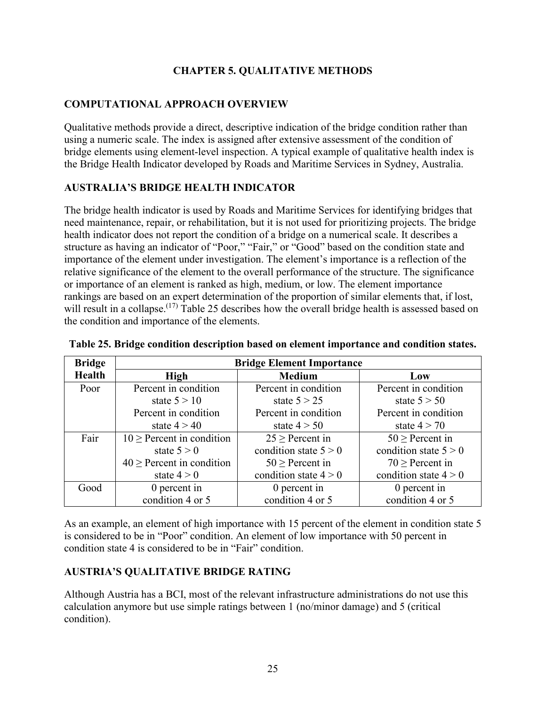# **CHAPTER 5. QUALITATIVE METHODS**

# <span id="page-34-1"></span><span id="page-34-0"></span>**COMPUTATIONAL APPROACH OVERVIEW**

Qualitative methods provide a direct, descriptive indication of the bridge condition rather than using a numeric scale. The index is assigned after extensive assessment of the condition of bridge elements using element-level inspection. A typical example of qualitative health index is the Bridge Health Indicator developed by Roads and Maritime Services in Sydney, Australia.

# <span id="page-34-2"></span>**AUSTRALIA'S BRIDGE HEALTH INDICATOR**

The bridge health indicator is used by Roads and Maritime Services for identifying bridges that need maintenance, repair, or rehabilitation, but it is not used for prioritizing projects. The bridge health indicator does not report the condition of a bridge on a numerical scale. It describes a structure as having an indicator of "Poor," "Fair," or "Good" based on the condition state and importance of the element under investigation. The element's importance is a reflection of the relative significance of the element to the overall performance of the structure. The significance or importance of an element is ranked as high, medium, or low. The element importance rankings are based on an expert determination of the proportion of similar elements that, if lost, will result in a collapse.<sup>(17)</sup> [Table 25](#page-34-4) describes how the overall bridge health is assessed based on the condition and importance of the elements.

| <b>Bridge</b> | <b>Bridge Element Importance</b> |                         |                         |  |  |
|---------------|----------------------------------|-------------------------|-------------------------|--|--|
| <b>Health</b> | High                             | <b>Medium</b>           | Low                     |  |  |
| Poor          | Percent in condition             | Percent in condition    | Percent in condition    |  |  |
|               | state $5 > 10$                   | state $5 > 25$          | state $5 > 50$          |  |  |
|               | Percent in condition             | Percent in condition    | Percent in condition    |  |  |
|               | state $4 > 40$                   | state $4 > 50$          | state $4 > 70$          |  |  |
| Fair          | $10 \geq$ Percent in condition   | $25 \geq$ Percent in    | $50 \geq$ Percent in    |  |  |
|               | state $5 > 0$                    | condition state $5 > 0$ | condition state $5 > 0$ |  |  |
|               | $40 \geq$ Percent in condition   | $50 \geq$ Percent in    | $70 \geq$ Percent in    |  |  |
|               | state $4 > 0$                    | condition state $4 > 0$ | condition state $4 > 0$ |  |  |
| Good          | $0$ percent in                   | 0 percent in            | 0 percent in            |  |  |
|               | condition 4 or 5                 | condition 4 or 5        | condition 4 or 5        |  |  |

<span id="page-34-4"></span>**Table 25. Bridge condition description based on element importance and condition states.**

As an example, an element of high importance with 15 percent of the element in condition state 5 is considered to be in "Poor" condition. An element of low importance with 50 percent in condition state 4 is considered to be in "Fair" condition.

## <span id="page-34-3"></span>**AUSTRIA'S QUALITATIVE BRIDGE RATING**

Although Austria has a BCI, most of the relevant infrastructure administrations do not use this calculation anymore but use simple ratings between 1 (no/minor damage) and 5 (critical condition).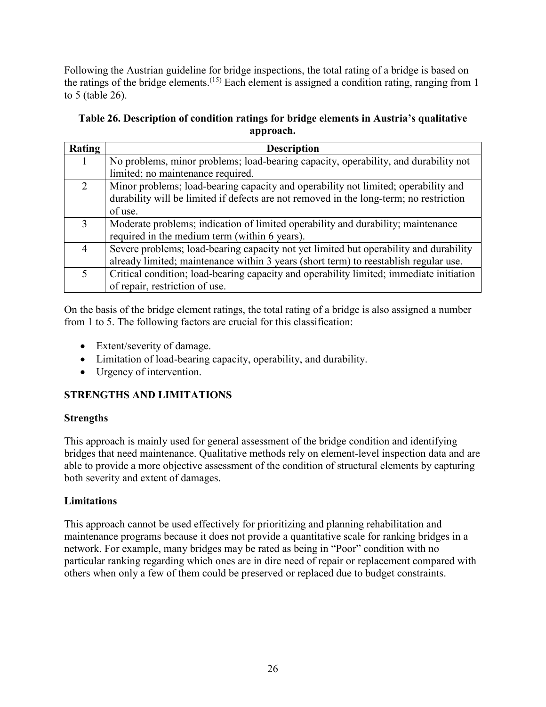Following the Austrian guideline for bridge inspections, the total rating of a bridge is based on the ratings of the bridge elements.(15) Each element is assigned a condition rating, ranging from 1 to 5 [\(table 26\)](#page-35-3).

<span id="page-35-3"></span>**Table 26. Description of condition ratings for bridge elements in Austria's qualitative approach.**

| Rating                      | <b>Description</b>                                                                      |
|-----------------------------|-----------------------------------------------------------------------------------------|
|                             | No problems, minor problems; load-bearing capacity, operability, and durability not     |
|                             | limited; no maintenance required.                                                       |
| $\mathcal{D}_{\mathcal{L}}$ | Minor problems; load-bearing capacity and operability not limited; operability and      |
|                             | durability will be limited if defects are not removed in the long-term; no restriction  |
|                             | of use.                                                                                 |
| 3                           | Moderate problems; indication of limited operability and durability; maintenance        |
|                             | required in the medium term (within 6 years).                                           |
|                             | Severe problems; load-bearing capacity not yet limited but operability and durability   |
|                             | already limited; maintenance within 3 years (short term) to reestablish regular use.    |
|                             | Critical condition; load-bearing capacity and operability limited; immediate initiation |
|                             | of repair, restriction of use.                                                          |

On the basis of the bridge element ratings, the total rating of a bridge is also assigned a number from 1 to 5. The following factors are crucial for this classification:

- Extent/severity of damage.
- Limitation of load-bearing capacity, operability, and durability.
- Urgency of intervention.

# <span id="page-35-0"></span>**STRENGTHS AND LIMITATIONS**

# <span id="page-35-1"></span>**Strengths**

This approach is mainly used for general assessment of the bridge condition and identifying bridges that need maintenance. Qualitative methods rely on element-level inspection data and are able to provide a more objective assessment of the condition of structural elements by capturing both severity and extent of damages.

# <span id="page-35-2"></span>**Limitations**

This approach cannot be used effectively for prioritizing and planning rehabilitation and maintenance programs because it does not provide a quantitative scale for ranking bridges in a network. For example, many bridges may be rated as being in "Poor" condition with no particular ranking regarding which ones are in dire need of repair or replacement compared with others when only a few of them could be preserved or replaced due to budget constraints.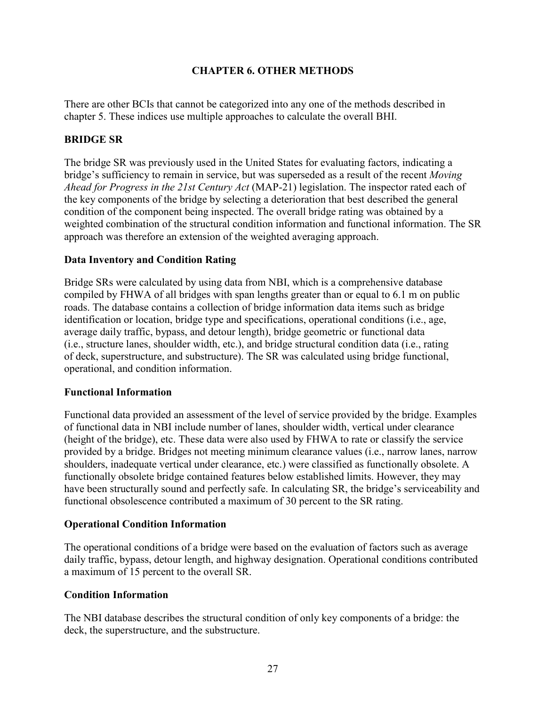## **CHAPTER 6. OTHER METHODS**

<span id="page-36-0"></span>There are other BCIs that cannot be categorized into any one of the methods described in chapter 5. These indices use multiple approaches to calculate the overall BHI.

# <span id="page-36-1"></span>**BRIDGE SR**

The bridge SR was previously used in the United States for evaluating factors, indicating a bridge's sufficiency to remain in service, but was superseded as a result of the recent *Moving Ahead for Progress in the 21st Century Act* (MAP-21) legislation. The inspector rated each of the key components of the bridge by selecting a deterioration that best described the general condition of the component being inspected. The overall bridge rating was obtained by a weighted combination of the structural condition information and functional information. The SR approach was therefore an extension of the weighted averaging approach.

## <span id="page-36-2"></span>**Data Inventory and Condition Rating**

Bridge SRs were calculated by using data from NBI, which is a comprehensive database compiled by FHWA of all bridges with span lengths greater than or equal to 6.1 m on public roads. The database contains a collection of bridge information data items such as bridge identification or location, bridge type and specifications, operational conditions (i.e., age, average daily traffic, bypass, and detour length), bridge geometric or functional data (i.e., structure lanes, shoulder width, etc.), and bridge structural condition data (i.e., rating of deck, superstructure, and substructure). The SR was calculated using bridge functional, operational, and condition information.

## <span id="page-36-3"></span>**Functional Information**

Functional data provided an assessment of the level of service provided by the bridge. Examples of functional data in NBI include number of lanes, shoulder width, vertical under clearance (height of the bridge), etc. These data were also used by FHWA to rate or classify the service provided by a bridge. Bridges not meeting minimum clearance values (i.e., narrow lanes, narrow shoulders, inadequate vertical under clearance, etc.) were classified as functionally obsolete. A functionally obsolete bridge contained features below established limits. However, they may have been structurally sound and perfectly safe. In calculating SR, the bridge's serviceability and functional obsolescence contributed a maximum of 30 percent to the SR rating.

## <span id="page-36-4"></span>**Operational Condition Information**

The operational conditions of a bridge were based on the evaluation of factors such as average daily traffic, bypass, detour length, and highway designation. Operational conditions contributed a maximum of 15 percent to the overall SR.

## <span id="page-36-5"></span>**Condition Information**

The NBI database describes the structural condition of only key components of a bridge: the deck, the superstructure, and the substructure.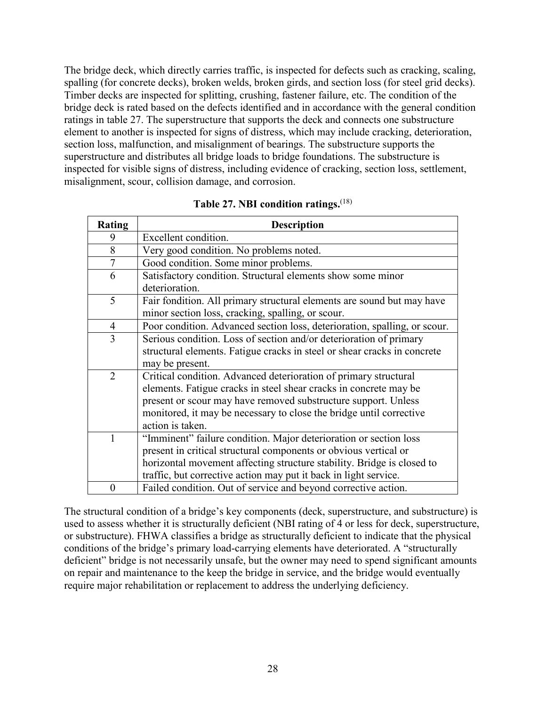The bridge deck, which directly carries traffic, is inspected for defects such as cracking, scaling, spalling (for concrete decks), broken welds, broken girds, and section loss (for steel grid decks). Timber decks are inspected for splitting, crushing, fastener failure, etc. The condition of the bridge deck is rated based on the defects identified and in accordance with the general condition ratings in [table 27.](#page-37-0) The superstructure that supports the deck and connects one substructure element to another is inspected for signs of distress, which may include cracking, deterioration, section loss, malfunction, and misalignment of bearings. The substructure supports the superstructure and distributes all bridge loads to bridge foundations. The substructure is inspected for visible signs of distress, including evidence of cracking, section loss, settlement, misalignment, scour, collision damage, and corrosion.

<span id="page-37-0"></span>

| <b>Rating</b>  | <b>Description</b>                                                        |  |  |  |
|----------------|---------------------------------------------------------------------------|--|--|--|
| 9              | Excellent condition.                                                      |  |  |  |
| 8              | Very good condition. No problems noted.                                   |  |  |  |
| $\tau$         | Good condition. Some minor problems.                                      |  |  |  |
| 6              | Satisfactory condition. Structural elements show some minor               |  |  |  |
|                | deterioration.                                                            |  |  |  |
| 5              | Fair fondition. All primary structural elements are sound but may have    |  |  |  |
|                | minor section loss, cracking, spalling, or scour.                         |  |  |  |
| $\overline{4}$ | Poor condition. Advanced section loss, deterioration, spalling, or scour. |  |  |  |
| 3              | Serious condition. Loss of section and/or deterioration of primary        |  |  |  |
|                | structural elements. Fatigue cracks in steel or shear cracks in concrete  |  |  |  |
|                | may be present.                                                           |  |  |  |
| $\overline{2}$ | Critical condition. Advanced deterioration of primary structural          |  |  |  |
|                | elements. Fatigue cracks in steel shear cracks in concrete may be         |  |  |  |
|                | present or scour may have removed substructure support. Unless            |  |  |  |
|                | monitored, it may be necessary to close the bridge until corrective       |  |  |  |
|                | action is taken.                                                          |  |  |  |
|                | "Imminent" failure condition. Major deterioration or section loss         |  |  |  |
|                | present in critical structural components or obvious vertical or          |  |  |  |
|                | horizontal movement affecting structure stability. Bridge is closed to    |  |  |  |
|                | traffic, but corrective action may put it back in light service.          |  |  |  |
| $\Omega$       | Failed condition. Out of service and beyond corrective action.            |  |  |  |

|  |  | Table 27. NBI condition ratings. (18) |  |  |
|--|--|---------------------------------------|--|--|
|--|--|---------------------------------------|--|--|

The structural condition of a bridge's key components (deck, superstructure, and substructure) is used to assess whether it is structurally deficient (NBI rating of 4 or less for deck, superstructure, or substructure). FHWA classifies a bridge as structurally deficient to indicate that the physical conditions of the bridge's primary load-carrying elements have deteriorated. A "structurally deficient" bridge is not necessarily unsafe, but the owner may need to spend significant amounts on repair and maintenance to the keep the bridge in service, and the bridge would eventually require major rehabilitation or replacement to address the underlying deficiency.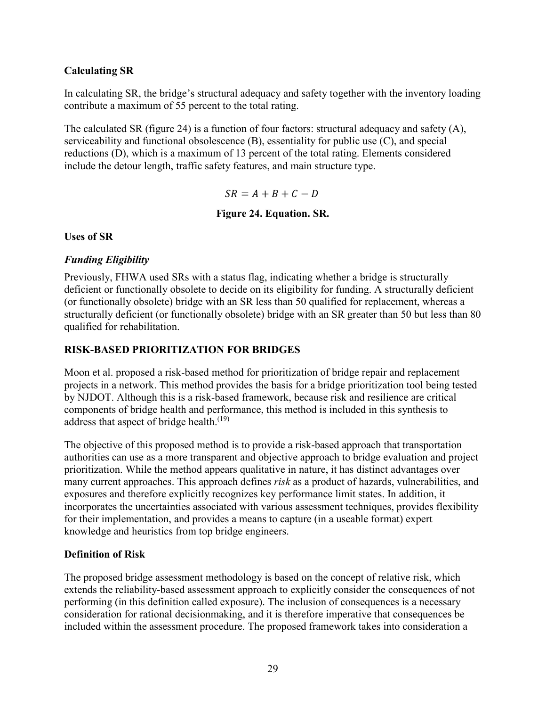# <span id="page-38-0"></span>**Calculating SR**

In calculating SR, the bridge's structural adequacy and safety together with the inventory loading contribute a maximum of 55 percent to the total rating.

The calculated SR [\(figure 24\)](#page-38-4) is a function of four factors: structural adequacy and safety (A), serviceability and functional obsolescence (B), essentiality for public use (C), and special reductions (D), which is a maximum of 13 percent of the total rating. Elements considered include the detour length, traffic safety features, and main structure type.

$$
SR = A + B + C - D
$$

## **Figure 24. Equation. SR.**

## <span id="page-38-4"></span><span id="page-38-1"></span>**Uses of SR**

# *Funding Eligibility*

Previously, FHWA used SRs with a status flag, indicating whether a bridge is structurally deficient or functionally obsolete to decide on its eligibility for funding. A structurally deficient (or functionally obsolete) bridge with an SR less than 50 qualified for replacement, whereas a structurally deficient (or functionally obsolete) bridge with an SR greater than 50 but less than 80 qualified for rehabilitation.

# <span id="page-38-2"></span>**RISK-BASED PRIORITIZATION FOR BRIDGES**

Moon et al. proposed a risk-based method for prioritization of bridge repair and replacement projects in a network. This method provides the basis for a bridge prioritization tool being tested by NJDOT. Although this is a risk-based framework, because risk and resilience are critical components of bridge health and performance, this method is included in this synthesis to address that aspect of bridge health. $(19)$ 

The objective of this proposed method is to provide a risk-based approach that transportation authorities can use as a more transparent and objective approach to bridge evaluation and project prioritization. While the method appears qualitative in nature, it has distinct advantages over many current approaches. This approach defines *risk* as a product of hazards, vulnerabilities, and exposures and therefore explicitly recognizes key performance limit states. In addition, it incorporates the uncertainties associated with various assessment techniques, provides flexibility for their implementation, and provides a means to capture (in a useable format) expert knowledge and heuristics from top bridge engineers.

## <span id="page-38-3"></span>**Definition of Risk**

The proposed bridge assessment methodology is based on the concept of relative risk, which extends the reliability-based assessment approach to explicitly consider the consequences of not performing (in this definition called exposure). The inclusion of consequences is a necessary consideration for rational decisionmaking, and it is therefore imperative that consequences be included within the assessment procedure. The proposed framework takes into consideration a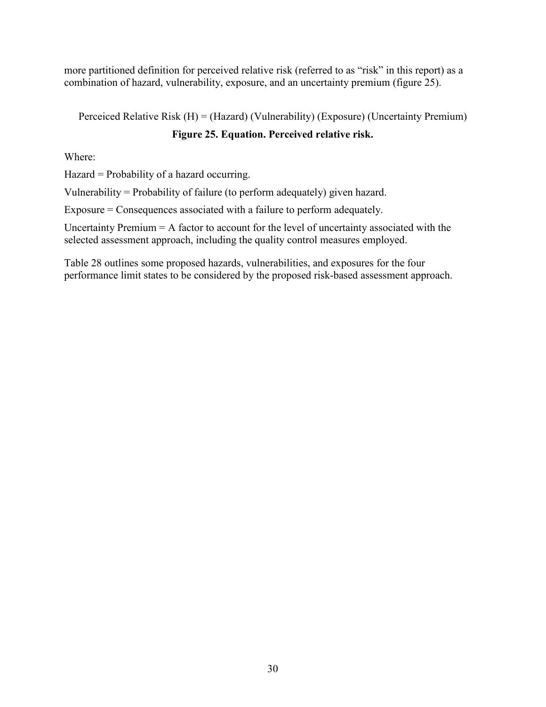more partitioned definition for perceived relative risk (referred to as "risk" in this report) as a combination of hazard, vulnerability, exposure, and an uncertainty premium [\(figure 25\)](#page-39-0).

<span id="page-39-0"></span>Perceiced Relative Risk (H) = (Hazard) (Vulnerability) (Exposure) (Uncertainty Premium)

# **Figure 25. Equation. Perceived relative risk.**

Where:

Hazard = Probability of a hazard occurring.

Vulnerability = Probability of failure (to perform adequately) given hazard.

Exposure = Consequences associated with a failure to perform adequately.

Uncertainty Premium = A factor to account for the level of uncertainty associated with the selected assessment approach, including the quality control measures employed.

[Table 28](#page-40-0) outlines some proposed hazards, vulnerabilities, and exposures for the four performance limit states to be considered by the proposed risk-based assessment approach.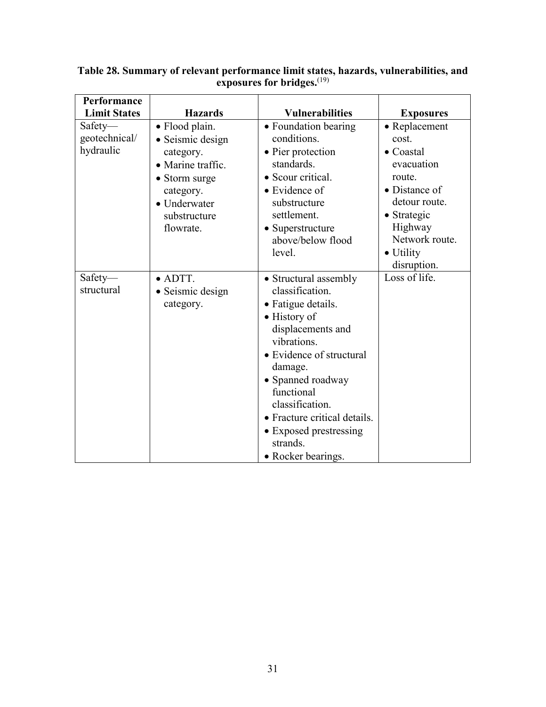| Performance                           |                                                                                                                                                 |                                                                                                                                                                                                                                                                                                                     |                                                                                                                                                                               |
|---------------------------------------|-------------------------------------------------------------------------------------------------------------------------------------------------|---------------------------------------------------------------------------------------------------------------------------------------------------------------------------------------------------------------------------------------------------------------------------------------------------------------------|-------------------------------------------------------------------------------------------------------------------------------------------------------------------------------|
| <b>Limit States</b>                   | <b>Hazards</b>                                                                                                                                  | <b>Vulnerabilities</b>                                                                                                                                                                                                                                                                                              | <b>Exposures</b>                                                                                                                                                              |
| Safety-<br>geotechnical/<br>hydraulic | • Flood plain.<br>• Seismic design<br>category.<br>• Marine traffic.<br>• Storm surge<br>category.<br>• Underwater<br>substructure<br>flowrate. | • Foundation bearing<br>conditions.<br>• Pier protection<br>standards.<br>• Scour critical.<br>• Evidence of<br>substructure<br>settlement.<br>• Superstructure<br>above/below flood<br>level.                                                                                                                      | • Replacement<br>cost.<br>$\bullet$ Coastal<br>evacuation<br>route.<br>• Distance of<br>detour route.<br>• Strategic<br>Highway<br>Network route.<br>• Utility<br>disruption. |
| Safety-<br>structural                 | $\bullet$ ADTT.<br>• Seismic design<br>category.                                                                                                | • Structural assembly<br>classification.<br>• Fatigue details.<br>$\bullet$ History of<br>displacements and<br>vibrations.<br>• Evidence of structural<br>damage.<br>• Spanned roadway<br>functional<br>classification.<br>• Fracture critical details.<br>• Exposed prestressing<br>strands.<br>• Rocker bearings. | Loss of life.                                                                                                                                                                 |

<span id="page-40-0"></span>**Table 28. Summary of relevant performance limit states, hazards, vulnerabilities, and exposures for bridges.** (19)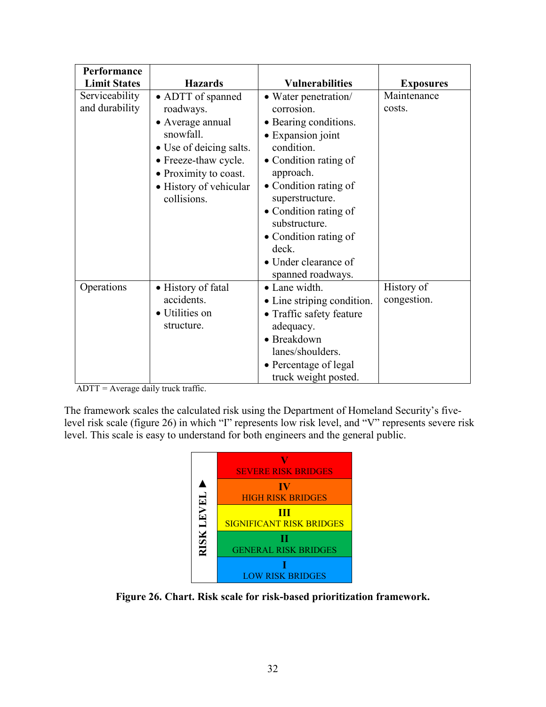| Performance                      |                                                                                                                                                                                      |                                                                                                                                                                                                                                                                                                           |                           |
|----------------------------------|--------------------------------------------------------------------------------------------------------------------------------------------------------------------------------------|-----------------------------------------------------------------------------------------------------------------------------------------------------------------------------------------------------------------------------------------------------------------------------------------------------------|---------------------------|
| <b>Limit States</b>              | <b>Hazards</b>                                                                                                                                                                       | <b>Vulnerabilities</b>                                                                                                                                                                                                                                                                                    | <b>Exposures</b>          |
| Serviceability<br>and durability | • ADTT of spanned<br>roadways.<br>• Average annual<br>snowfall.<br>• Use of deicing salts.<br>• Freeze-thaw cycle.<br>• Proximity to coast.<br>• History of vehicular<br>collisions. | • Water penetration/<br>corrosion.<br>• Bearing conditions.<br>• Expansion joint<br>condition.<br>• Condition rating of<br>approach.<br>• Condition rating of<br>superstructure.<br>• Condition rating of<br>substructure.<br>• Condition rating of<br>deck.<br>• Under clearance of<br>spanned roadways. | Maintenance<br>costs.     |
| Operations                       | • History of fatal<br>accidents.<br>• Utilities on<br>structure.                                                                                                                     | • Lane width.<br>• Line striping condition.<br>• Traffic safety feature<br>adequacy.<br>• Breakdown<br>lanes/shoulders.<br>• Percentage of legal<br>truck weight posted.                                                                                                                                  | History of<br>congestion. |

ADTT = Average daily truck traffic.

The framework scales the calculated risk using the Department of Homeland Security's fivelevel risk scale [\(figure 26\)](#page-41-0) in which "I" represents low risk level, and "V" represents severe risk level. This scale is easy to understand for both engineers and the general public.



<span id="page-41-0"></span>Figure 26. Chart. Risk scale for risk-based prioritization framework.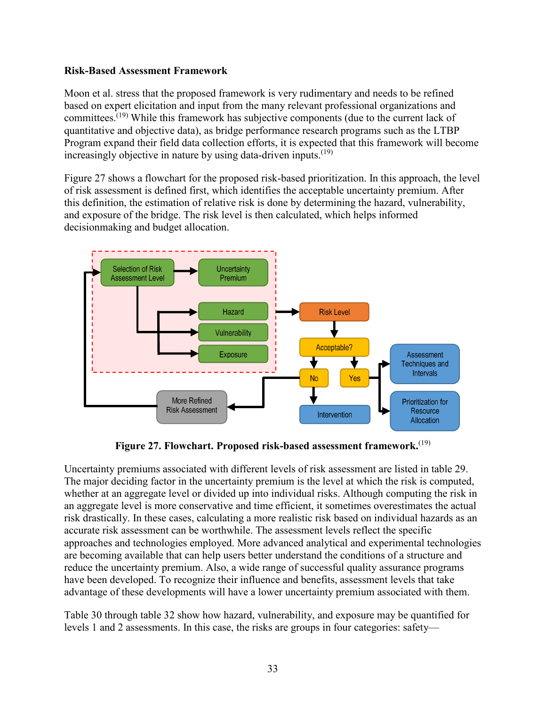#### <span id="page-42-0"></span>**Risk-Based Assessment Framework**

Moon et al. stress that the proposed framework is very rudimentary and needs to be refined based on expert elicitation and input from the many relevant professional organizations and committees.<sup>(19)</sup> While this framework has subjective components (due to the current lack of quantitative and objective data), as bridge performance research programs such as the LTBP Program expand their field data collection efforts, it is expected that this framework will become increasingly objective in nature by using data-driven inputs.<sup>(19)</sup>

[Figure 27](#page-42-1) shows a flowchart for the proposed risk-based prioritization. In this approach, the level of risk assessment is defined first, which identifies the acceptable uncertainty premium. After this definition, the estimation of relative risk is done by determining the hazard, vulnerability, and exposure of the bridge. The risk level is then calculated, which helps informed decisionmaking and budget allocation.



**Figure 27. Flowchart. Proposed risk-based assessment framework.** (19)

<span id="page-42-1"></span>Uncertainty premiums associated with different levels of risk assessment are listed in [table 29.](#page-43-0) The major deciding factor in the uncertainty premium is the level at which the risk is computed, whether at an aggregate level or divided up into individual risks. Although computing the risk in an aggregate level is more conservative and time efficient, it sometimes overestimates the actual risk drastically. In these cases, calculating a more realistic risk based on individual hazards as an accurate risk assessment can be worthwhile. The assessment levels reflect the specific approaches and technologies employed. More advanced analytical and experimental technologies are becoming available that can help users better understand the conditions of a structure and reduce the uncertainty premium. Also, a wide range of successful quality assurance programs have been developed. To recognize their influence and benefits, assessment levels that take advantage of these developments will have a lower uncertainty premium associated with them.

[Table 30](#page-43-1) through [table 32](#page-47-0) show how hazard, vulnerability, and exposure may be quantified for levels 1 and 2 assessments. In this case, the risks are groups in four categories: safety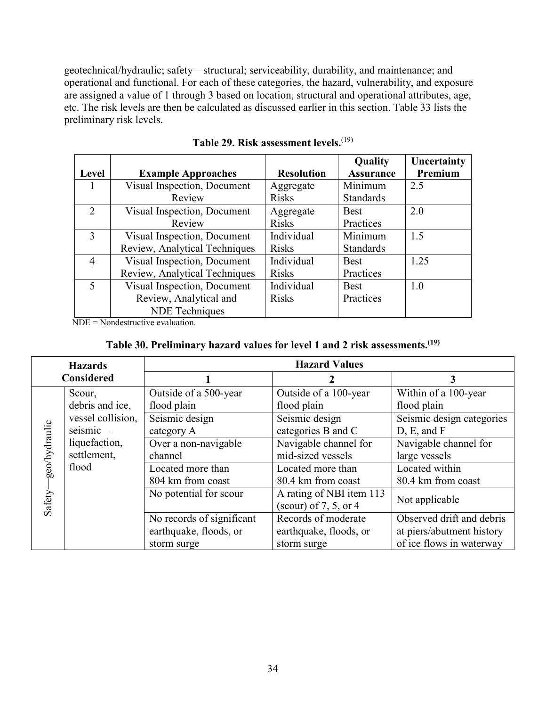geotechnical/hydraulic; safety—structural; serviceability, durability, and maintenance; and operational and functional. For each of these categories, the hazard, vulnerability, and exposure are assigned a value of 1 through 3 based on location, structural and operational attributes, age, etc. The risk levels are then be calculated as discussed earlier in this section. [Table](#page-47-2) 33 lists the preliminary risk levels.

<span id="page-43-0"></span>

| Level                    | <b>Example Approaches</b>     | <b>Resolution</b> | Quality<br><b>Assurance</b> | Uncertainty<br>Premium |
|--------------------------|-------------------------------|-------------------|-----------------------------|------------------------|
| 1                        |                               |                   | Minimum                     | 2.5                    |
|                          | Visual Inspection, Document   | Aggregate         |                             |                        |
|                          | Review                        | <b>Risks</b>      | <b>Standards</b>            |                        |
| $\overline{2}$           | Visual Inspection, Document   | Aggregate         | <b>Best</b>                 | 2.0                    |
|                          | Review                        | <b>Risks</b>      | Practices                   |                        |
| 3                        | Visual Inspection, Document   | Individual        | Minimum                     | 1.5                    |
|                          | Review, Analytical Techniques | <b>Risks</b>      | <b>Standards</b>            |                        |
| 4                        | Visual Inspection, Document   | Individual        | <b>Best</b>                 | 1.25                   |
|                          | Review, Analytical Techniques | <b>Risks</b>      | Practices                   |                        |
| $\overline{\mathcal{L}}$ | Visual Inspection, Document   | Individual        | <b>Best</b>                 | 1.0                    |
|                          | Review, Analytical and        | <b>Risks</b>      | Practices                   |                        |
|                          | <b>NDE</b> Techniques         |                   |                             |                        |

**Table 29. Risk assessment levels.** (19)

<span id="page-43-1"></span>NDE = Nondestructive evaluation.

## **Table 30. Preliminary hazard values for level 1 and 2 risk assessments. (19)**

| <b>Hazards</b><br>Considered |                   | <b>Hazard Values</b>      |                                                        |                           |  |
|------------------------------|-------------------|---------------------------|--------------------------------------------------------|---------------------------|--|
|                              |                   |                           |                                                        | 3                         |  |
|                              | Scour,            | Outside of a 500-year     | Outside of a 100-year                                  | Within of a 100-year      |  |
|                              | debris and ice,   | flood plain               | flood plain                                            | flood plain               |  |
|                              | vessel collision, | Seismic design            | Seismic design                                         | Seismic design categories |  |
| geo/hydraulic                | seismic-          | category A                | categories B and C                                     | D, E, and F               |  |
|                              | liquefaction,     | Over a non-navigable      | Navigable channel for                                  | Navigable channel for     |  |
|                              | settlement,       | channel                   | mid-sized vessels                                      | large vessels             |  |
|                              | flood             | Located more than         | Located more than                                      | Located within            |  |
|                              |                   | 804 km from coast         | 80.4 km from coast                                     | 80.4 km from coast        |  |
| Safety-                      |                   | No potential for scour    | A rating of NBI item 113<br>(scour) of $7, 5$ , or $4$ | Not applicable            |  |
|                              |                   | No records of significant | Records of moderate                                    | Observed drift and debris |  |
|                              |                   | earthquake, floods, or    | earthquake, floods, or                                 | at piers/abutment history |  |
|                              |                   | storm surge               | storm surge                                            | of ice flows in waterway  |  |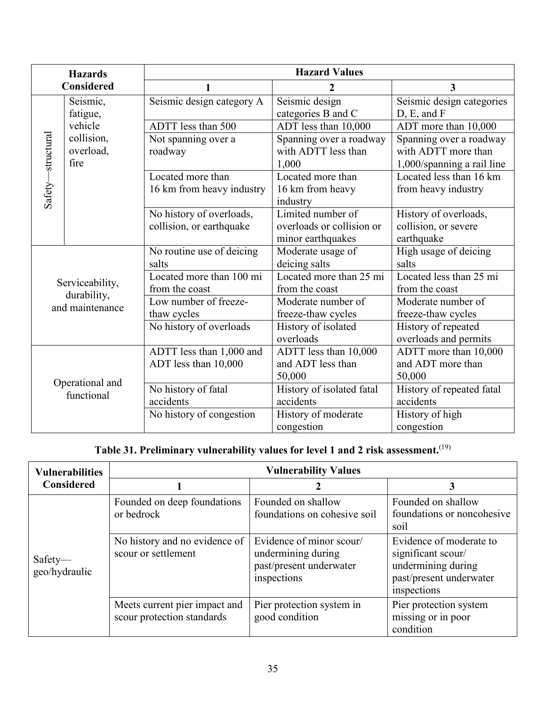| <b>Hazards</b>    |                                 | <b>Hazard Values</b>                       |                                                         |                                                                              |  |
|-------------------|---------------------------------|--------------------------------------------|---------------------------------------------------------|------------------------------------------------------------------------------|--|
| <b>Considered</b> |                                 |                                            |                                                         | 3                                                                            |  |
|                   | Seismic,<br>fatigue,            | Seismic design category A                  | Seismic design<br>categories B and C                    | Seismic design categories<br>D, E, and F                                     |  |
|                   | vehicle                         | ADTT less than 500                         | ADT less than 10,000                                    | $\overline{AD}$ T more than 10,000                                           |  |
| Safety-structural | collision,<br>overload,<br>fire | Not spanning over a<br>roadway             | Spanning over a roadway<br>with ADTT less than<br>1,000 | Spanning over a roadway<br>with ADTT more than<br>1,000/spanning a rail line |  |
|                   |                                 | Located more than                          | Located more than                                       | Located less than 16 km                                                      |  |
|                   |                                 | 16 km from heavy industry                  | 16 km from heavy<br>industry                            | from heavy industry                                                          |  |
|                   |                                 | No history of overloads,                   | Limited number of                                       | History of overloads,                                                        |  |
|                   |                                 | collision, or earthquake                   | overloads or collision or<br>minor earthquakes          | collision, or severe<br>earthquake                                           |  |
|                   |                                 | No routine use of deicing                  | Moderate usage of                                       | High usage of deicing                                                        |  |
|                   |                                 | salts                                      | deicing salts                                           | salts                                                                        |  |
|                   | Serviceability,                 | Located more than 100 mi<br>from the coast | Located more than 25 mi<br>from the coast               | Located less than 25 mi<br>from the coast                                    |  |
|                   | durability,<br>and maintenance  | Low number of freeze-                      | Moderate number of                                      | Moderate number of                                                           |  |
|                   |                                 | thaw cycles                                | freeze-thaw cycles                                      | freeze-thaw cycles                                                           |  |
|                   |                                 | No history of overloads                    | History of isolated<br>overloads                        | History of repeated<br>overloads and permits                                 |  |
|                   |                                 | ADTT less than 1,000 and                   | ADTT less than 10,000                                   | ADTT more than 10,000                                                        |  |
|                   |                                 | ADT less than 10,000                       | and ADT less than                                       | and ADT more than                                                            |  |
|                   | Operational and                 |                                            | 50,000                                                  | 50,000                                                                       |  |
|                   | functional                      | No history of fatal                        | History of isolated fatal                               | History of repeated fatal                                                    |  |
|                   |                                 | accidents                                  | accidents                                               | accidents                                                                    |  |
|                   |                                 | No history of congestion                   | History of moderate                                     | History of high                                                              |  |
|                   |                                 |                                            | congestion                                              | congestion                                                                   |  |

# <span id="page-44-0"></span>**Table 31. Preliminary vulnerability values for level 1 and 2 risk assessment.** (19)

| <b>Vulnerabilities</b>   | <b>Vulnerability Values</b>                                 |                                                                                          |                                                                                                               |  |
|--------------------------|-------------------------------------------------------------|------------------------------------------------------------------------------------------|---------------------------------------------------------------------------------------------------------------|--|
| Considered               |                                                             |                                                                                          | 3                                                                                                             |  |
|                          | Founded on deep foundations<br>or bedrock                   | Founded on shallow<br>foundations on cohesive soil                                       | Founded on shallow<br>foundations or noncohesive<br>soil                                                      |  |
| Safety-<br>geo/hydraulic | No history and no evidence of<br>scour or settlement        | Evidence of minor scour/<br>undermining during<br>past/present underwater<br>inspections | Evidence of moderate to<br>significant scour/<br>undermining during<br>past/present underwater<br>inspections |  |
|                          | Meets current pier impact and<br>scour protection standards | Pier protection system in<br>good condition                                              | Pier protection system<br>missing or in poor<br>condition                                                     |  |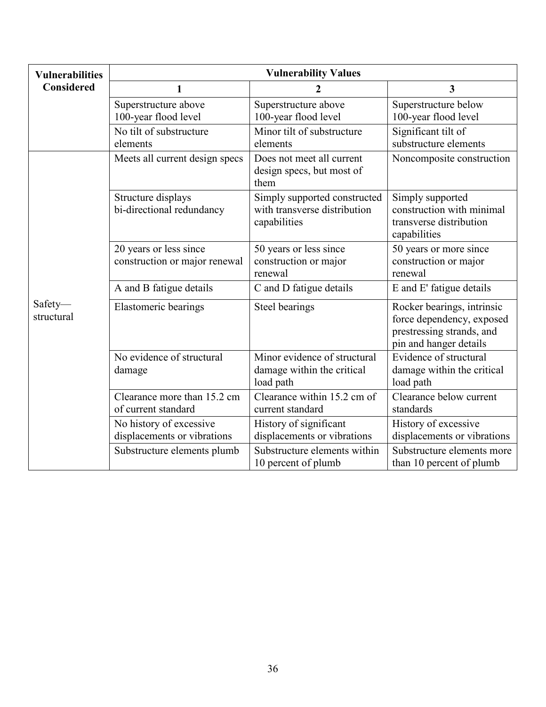| <b>Vulnerabilities</b> | <b>Vulnerability Values</b>                             |                                                                              |                                                                                                                |  |
|------------------------|---------------------------------------------------------|------------------------------------------------------------------------------|----------------------------------------------------------------------------------------------------------------|--|
| Considered             | 1                                                       | $\overline{2}$                                                               | $\overline{\mathbf{3}}$                                                                                        |  |
|                        | Superstructure above<br>100-year flood level            | Superstructure above<br>100-year flood level                                 | Superstructure below<br>100-year flood level                                                                   |  |
|                        | No tilt of substructure<br>elements                     | Minor tilt of substructure<br>elements                                       | Significant tilt of<br>substructure elements                                                                   |  |
|                        | Meets all current design specs                          | Does not meet all current<br>design specs, but most of<br>them               | Noncomposite construction                                                                                      |  |
|                        | Structure displays<br>bi-directional redundancy         | Simply supported constructed<br>with transverse distribution<br>capabilities | Simply supported<br>construction with minimal<br>transverse distribution<br>capabilities                       |  |
|                        | 20 years or less since<br>construction or major renewal | 50 years or less since<br>construction or major<br>renewal                   | 50 years or more since<br>construction or major<br>renewal                                                     |  |
|                        | A and B fatigue details                                 | C and D fatigue details                                                      | E and E' fatigue details                                                                                       |  |
| Safety-<br>structural  | Elastomeric bearings                                    | Steel bearings                                                               | Rocker bearings, intrinsic<br>force dependency, exposed<br>prestressing strands, and<br>pin and hanger details |  |
|                        | No evidence of structural<br>damage                     | Minor evidence of structural<br>damage within the critical<br>load path      | Evidence of structural<br>damage within the critical<br>load path                                              |  |
|                        | Clearance more than 15.2 cm<br>of current standard      | Clearance within 15.2 cm of<br>current standard                              | Clearance below current<br>standards                                                                           |  |
|                        | No history of excessive<br>displacements or vibrations  | History of significant<br>displacements or vibrations                        | History of excessive<br>displacements or vibrations                                                            |  |
|                        | Substructure elements plumb                             | Substructure elements within<br>10 percent of plumb                          | Substructure elements more<br>than 10 percent of plumb                                                         |  |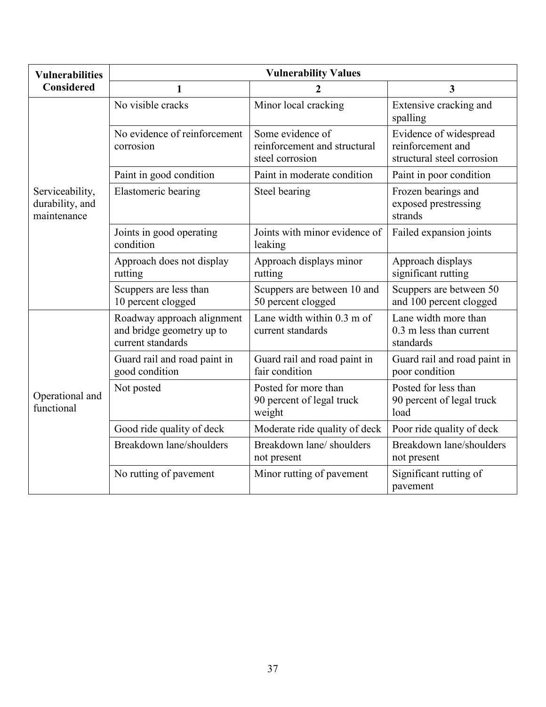| <b>Vulnerabilities</b>                            | <b>Vulnerability Values</b>                                                  |                                                                     |                                                                           |  |  |
|---------------------------------------------------|------------------------------------------------------------------------------|---------------------------------------------------------------------|---------------------------------------------------------------------------|--|--|
| <b>Considered</b>                                 | 1                                                                            | 2                                                                   | 3                                                                         |  |  |
|                                                   | No visible cracks                                                            | Minor local cracking                                                | Extensive cracking and<br>spalling                                        |  |  |
|                                                   | No evidence of reinforcement<br>corrosion                                    | Some evidence of<br>reinforcement and structural<br>steel corrosion | Evidence of widespread<br>reinforcement and<br>structural steel corrosion |  |  |
|                                                   | Paint in good condition                                                      | Paint in moderate condition                                         | Paint in poor condition                                                   |  |  |
| Serviceability,<br>durability, and<br>maintenance | Elastomeric bearing                                                          | Steel bearing                                                       | Frozen bearings and<br>exposed prestressing<br>strands                    |  |  |
|                                                   | Joints in good operating<br>condition                                        | Joints with minor evidence of<br>leaking                            | Failed expansion joints                                                   |  |  |
|                                                   | Approach does not display<br>rutting                                         | Approach displays minor<br>rutting                                  | Approach displays<br>significant rutting                                  |  |  |
|                                                   | Scuppers are less than<br>10 percent clogged                                 | Scuppers are between 10 and<br>50 percent clogged                   | Scuppers are between 50<br>and 100 percent clogged                        |  |  |
|                                                   | Roadway approach alignment<br>and bridge geometry up to<br>current standards | Lane width within 0.3 m of<br>current standards                     | Lane width more than<br>0.3 m less than current<br>standards              |  |  |
|                                                   | Guard rail and road paint in<br>good condition                               | Guard rail and road paint in<br>fair condition                      | Guard rail and road paint in<br>poor condition                            |  |  |
| Operational and<br>functional                     | Not posted                                                                   | Posted for more than<br>90 percent of legal truck<br>weight         | Posted for less than<br>90 percent of legal truck<br>load                 |  |  |
|                                                   | Good ride quality of deck                                                    | Moderate ride quality of deck                                       | Poor ride quality of deck                                                 |  |  |
|                                                   | Breakdown lane/shoulders                                                     | Breakdown lane/ shoulders<br>not present                            | Breakdown lane/shoulders<br>not present                                   |  |  |
|                                                   | No rutting of pavement                                                       | Minor rutting of pavement                                           | Significant rutting of<br>pavement                                        |  |  |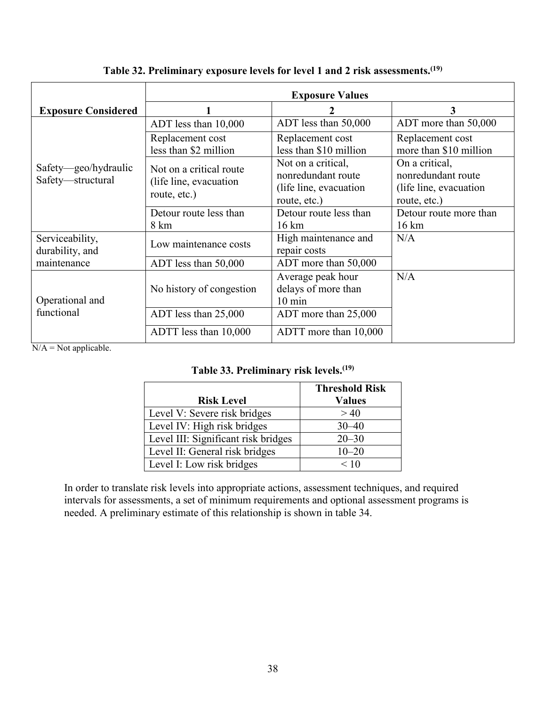<span id="page-47-0"></span>

|                                           | <b>Exposure Values</b>                                             |                                                                                     |                                                                                 |
|-------------------------------------------|--------------------------------------------------------------------|-------------------------------------------------------------------------------------|---------------------------------------------------------------------------------|
| <b>Exposure Considered</b>                |                                                                    | 2                                                                                   | 3                                                                               |
| Safety—geo/hydraulic<br>Safety-structural | ADT less than 10,000                                               | ADT less than 50,000                                                                | ADT more than 50,000                                                            |
|                                           | Replacement cost<br>less than \$2 million                          | Replacement cost<br>less than \$10 million                                          | Replacement cost<br>more than \$10 million                                      |
|                                           | Not on a critical route<br>(life line, evacuation)<br>route, etc.) | Not on a critical,<br>nonredundant route<br>(life line, evacuation)<br>route, etc.) | On a critical,<br>nonredundant route<br>(life line, evacuation)<br>route, etc.) |
|                                           | Detour route less than<br>8 km                                     | Detour route less than<br>$16 \text{ km}$                                           | Detour route more than<br>$16 \text{ km}$                                       |
| Serviceability,<br>durability, and        | Low maintenance costs                                              |                                                                                     | N/A                                                                             |
| maintenance                               | ADT less than 50,000                                               | ADT more than 50,000                                                                |                                                                                 |
| Operational and<br>functional             | No history of congestion                                           | Average peak hour<br>delays of more than<br>$10 \text{ min}$                        | N/A                                                                             |
|                                           | ADT less than $25,000$                                             | ADT more than 25,000                                                                |                                                                                 |
|                                           | ADTT less than 10,000                                              | ADTT more than 10,000                                                               |                                                                                 |

# **Table 32. Preliminary exposure levels for level 1 and 2 risk assessments. (19)**

<span id="page-47-2"></span><span id="page-47-1"></span> $N/A = Not applicable.$ 

# **Table 33. Preliminary risk levels. (19)**

|                                     | <b>Threshold Risk</b> |
|-------------------------------------|-----------------------|
| <b>Risk Level</b>                   | <b>Values</b>         |
| Level V: Severe risk bridges        | >40                   |
| Level IV: High risk bridges         | $30 - 40$             |
| Level III: Significant risk bridges | $20 - 30$             |
| Level II: General risk bridges      | $10 - 20$             |
| Level I: Low risk bridges           | < 10                  |

In order to translate risk levels into appropriate actions, assessment techniques, and required intervals for assessments, a set of minimum requirements and optional assessment programs is needed. A preliminary estimate of this relationship is shown in [table 34.](#page-48-1)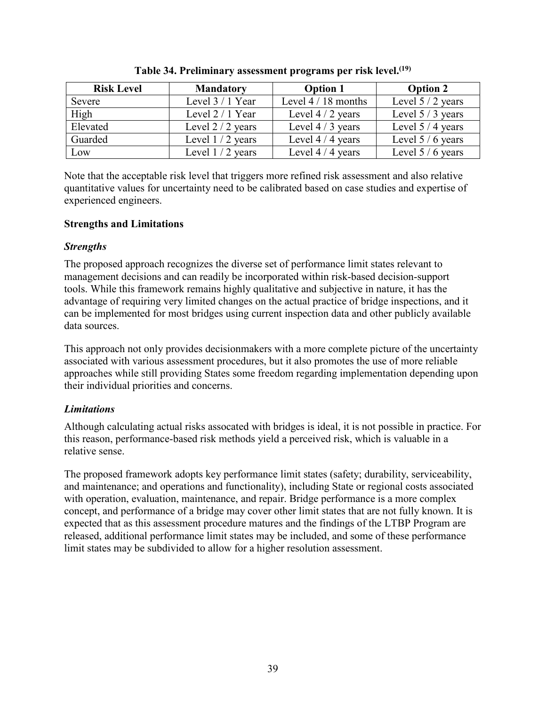<span id="page-48-1"></span>

| <b>Risk Level</b> | <b>Mandatory</b>  | <b>Option 1</b>     | <b>Option 2</b>   |
|-------------------|-------------------|---------------------|-------------------|
| Severe            | Level $3/1$ Year  | Level $4/18$ months | Level $5/2$ years |
| High              | Level $2/1$ Year  | Level $4/2$ years   | Level $5/3$ years |
| Elevated          | Level $2/2$ years | Level $4/3$ years   | Level $5/4$ years |
| Guarded           | Level $1/2$ years | Level $4/4$ years   | Level $5/6$ years |
| Low               | Level $1/2$ years | Level $4/4$ years   | Level $5/6$ years |

|  | Table 34. Preliminary assessment programs per risk level. <sup>(19)</sup> |  |  |
|--|---------------------------------------------------------------------------|--|--|
|--|---------------------------------------------------------------------------|--|--|

Note that the acceptable risk level that triggers more refined risk assessment and also relative quantitative values for uncertainty need to be calibrated based on case studies and expertise of experienced engineers.

#### <span id="page-48-0"></span>**Strengths and Limitations**

## *Strengths*

The proposed approach recognizes the diverse set of performance limit states relevant to management decisions and can readily be incorporated within risk-based decision-support tools. While this framework remains highly qualitative and subjective in nature, it has the advantage of requiring very limited changes on the actual practice of bridge inspections, and it can be implemented for most bridges using current inspection data and other publicly available data sources.

This approach not only provides decisionmakers with a more complete picture of the uncertainty associated with various assessment procedures, but it also promotes the use of more reliable approaches while still providing States some freedom regarding implementation depending upon their individual priorities and concerns.

## *Limitations*

Although calculating actual risks assocated with bridges is ideal, it is not possible in practice. For this reason, performance-based risk methods yield a perceived risk, which is valuable in a relative sense.

The proposed framework adopts key performance limit states (safety; durability, serviceability, and maintenance; and operations and functionality), including State or regional costs associated with operation, evaluation, maintenance, and repair. Bridge performance is a more complex concept, and performance of a bridge may cover other limit states that are not fully known. It is expected that as this assessment procedure matures and the findings of the LTBP Program are released, additional performance limit states may be included, and some of these performance limit states may be subdivided to allow for a higher resolution assessment.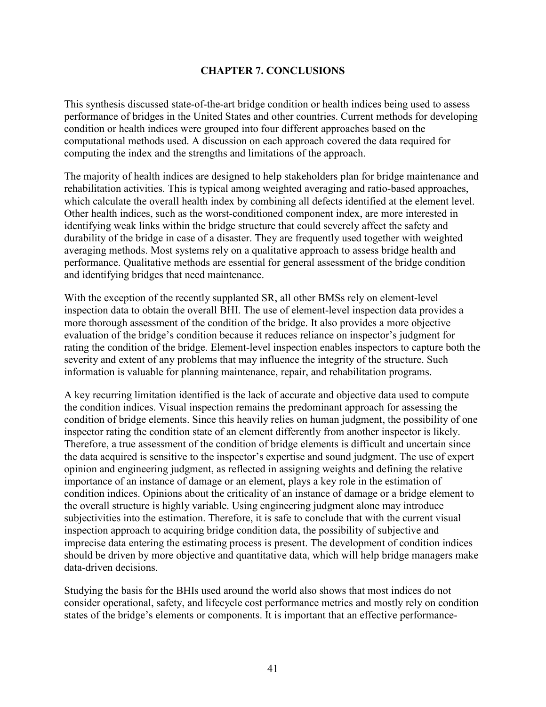## **CHAPTER 7. CONCLUSIONS**

<span id="page-50-0"></span>This synthesis discussed state-of-the-art bridge condition or health indices being used to assess performance of bridges in the United States and other countries. Current methods for developing condition or health indices were grouped into four different approaches based on the computational methods used. A discussion on each approach covered the data required for computing the index and the strengths and limitations of the approach.

The majority of health indices are designed to help stakeholders plan for bridge maintenance and rehabilitation activities. This is typical among weighted averaging and ratio-based approaches, which calculate the overall health index by combining all defects identified at the element level. Other health indices, such as the worst-conditioned component index, are more interested in identifying weak links within the bridge structure that could severely affect the safety and durability of the bridge in case of a disaster. They are frequently used together with weighted averaging methods. Most systems rely on a qualitative approach to assess bridge health and performance. Qualitative methods are essential for general assessment of the bridge condition and identifying bridges that need maintenance.

With the exception of the recently supplanted SR, all other BMSs rely on element-level inspection data to obtain the overall BHI. The use of element-level inspection data provides a more thorough assessment of the condition of the bridge. It also provides a more objective evaluation of the bridge's condition because it reduces reliance on inspector's judgment for rating the condition of the bridge. Element-level inspection enables inspectors to capture both the severity and extent of any problems that may influence the integrity of the structure. Such information is valuable for planning maintenance, repair, and rehabilitation programs.

A key recurring limitation identified is the lack of accurate and objective data used to compute the condition indices. Visual inspection remains the predominant approach for assessing the condition of bridge elements. Since this heavily relies on human judgment, the possibility of one inspector rating the condition state of an element differently from another inspector is likely. Therefore, a true assessment of the condition of bridge elements is difficult and uncertain since the data acquired is sensitive to the inspector's expertise and sound judgment. The use of expert opinion and engineering judgment, as reflected in assigning weights and defining the relative importance of an instance of damage or an element, plays a key role in the estimation of condition indices. Opinions about the criticality of an instance of damage or a bridge element to the overall structure is highly variable. Using engineering judgment alone may introduce subjectivities into the estimation. Therefore, it is safe to conclude that with the current visual inspection approach to acquiring bridge condition data, the possibility of subjective and imprecise data entering the estimating process is present. The development of condition indices should be driven by more objective and quantitative data, which will help bridge managers make data-driven decisions.

Studying the basis for the BHIs used around the world also shows that most indices do not consider operational, safety, and lifecycle cost performance metrics and mostly rely on condition states of the bridge's elements or components. It is important that an effective performance-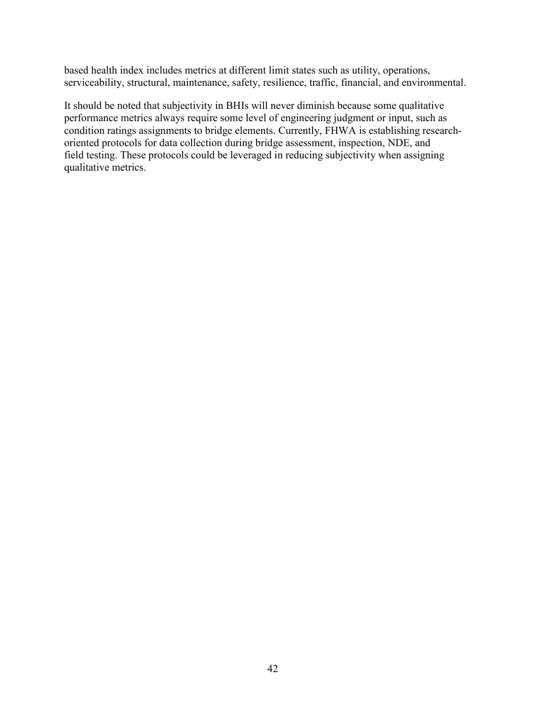based health index includes metrics at different limit states such as utility, operations, serviceability, structural, maintenance, safety, resilience, traffic, financial, and environmental.

It should be noted that subjectivity in BHIs will never diminish because some qualitative performance metrics always require some level of engineering judgment or input, such as condition ratings assignments to bridge elements. Currently, FHWA is establishing researchoriented protocols for data collection during bridge assessment, inspection, NDE, and field testing. These protocols could be leveraged in reducing subjectivity when assigning qualitative metrics.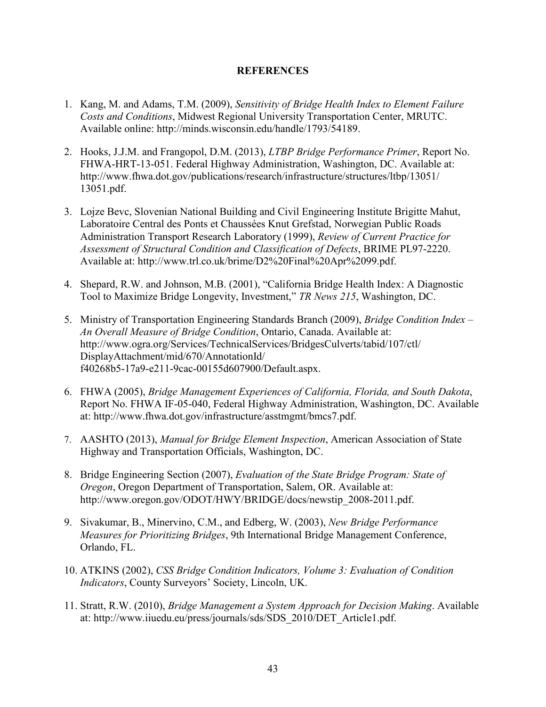#### **REFERENCES**

- <span id="page-52-0"></span>1. Kang, M. and Adams, T.M. (2009), *Sensitivity of Bridge Health Index to Element Failure Costs and Conditions*, Midwest Regional University Transportation Center, MRUTC. Available online: http://minds.wisconsin.edu/handle/1793/54189.
- 2. Hooks, J.J.M. and Frangopol, D.M. (2013), *LTBP Bridge Performance Primer*, Report No. FHWA-HRT-13-051. Federal Highway Administration, Washington, DC. Available at: http://www.fhwa.dot.gov/publications/research/infrastructure/structures/ltbp/13051/ 13051.pdf.
- 3. Lojze Bevc, Slovenian National Building and Civil Engineering Institute Brigitte Mahut, Laboratoire Central des Ponts et Chaussées Knut Grefstad, Norwegian Public Roads Administration Transport Research Laboratory (1999), *Review of Current Practice for Assessment of Structural Condition and Classification of Defects*, BRIME PL97-2220. Available at: http://www.trl.co.uk/brime/D2%20Final%20Apr%2099.pdf.
- 4. Shepard, R.W. and Johnson, M.B. (2001), "California Bridge Health Index: A Diagnostic Tool to Maximize Bridge Longevity, Investment," *TR News 215*, Washington, DC.
- 5. Ministry of Transportation Engineering Standards Branch (2009), *Bridge Condition Index – An Overall Measure of Bridge Condition*, Ontario, Canada. Available at: http://www.ogra.org/Services/TechnicalServices/BridgesCulverts/tabid/107/ctl/ DisplayAttachment/mid/670/AnnotationId/ f40268b5-17a9-e211-9cac-00155d607900/Default.aspx.
- 6. FHWA (2005), *Bridge Management Experiences of California, Florida, and South Dakota*, Report No. FHWA IF-05-040, Federal Highway Administration, Washington, DC. Available at: http://www.fhwa.dot.gov/infrastructure/asstmgmt/bmcs7.pdf.
- 7. AASHTO (2013), *Manual for Bridge Element Inspection*, American Association of State Highway and Transportation Officials, Washington, DC.
- 8. Bridge Engineering Section (2007), *Evaluation of the State Bridge Program: State of Oregon*, Oregon Department of Transportation, Salem, OR. Available at: http://www.oregon.gov/ODOT/HWY/BRIDGE/docs/newstip\_2008-2011.pdf.
- 9. Sivakumar, B., Minervino, C.M., and Edberg, W. (2003), *New Bridge Performance Measures for Prioritizing Bridges*, 9th International Bridge Management Conference, Orlando, FL.
- 10. ATKINS (2002), *CSS Bridge Condition Indicators, Volume 3: Evaluation of Condition Indicators*, County Surveyors' Society, Lincoln, UK.
- 11. Stratt, R.W. (2010), *Bridge Management a System Approach for Decision Making*. Available at: http://www.iiuedu.eu/press/journals/sds/SDS\_2010/DET\_Article1.pdf.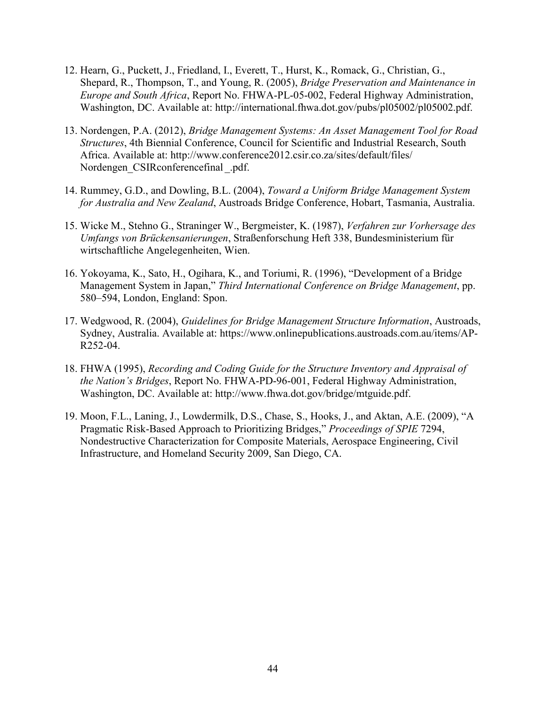- 12. Hearn, G., Puckett, J., Friedland, I., Everett, T., Hurst, K., Romack, G., Christian, G., Shepard, R., Thompson, T., and Young, R. (2005), *Bridge Preservation and Maintenance in Europe and South Africa*, Report No. FHWA-PL-05-002, Federal Highway Administration, Washington, DC. Available at: http://international.fhwa.dot.gov/pubs/pl05002/pl05002.pdf.
- 13. Nordengen, P.A. (2012), *Bridge Management Systems: An Asset Management Tool for Road Structures*, 4th Biennial Conference, Council for Scientific and Industrial Research, South Africa. Available at: http://www.conference2012.csir.co.za/sites/default/files/ Nordengen CSIRconferencefinal .pdf.
- 14. Rummey, G.D., and Dowling, B.L. (2004), *Toward a Uniform Bridge Management System for Australia and New Zealand*, Austroads Bridge Conference, Hobart, Tasmania, Australia.
- 15. Wicke M., Stehno G., Straninger W., Bergmeister, K. (1987), *Verfahren zur Vorhersage des Umfangs von Brückensanierungen*, Straßenforschung Heft 338, Bundesministerium für wirtschaftliche Angelegenheiten, Wien.
- 16. Yokoyama, K., Sato, H., Ogihara, K., and Toriumi, R. (1996), "Development of a Bridge Management System in Japan," *Third International Conference on Bridge Management*, pp. 580–594, London, England: Spon.
- 17. Wedgwood, R. (2004), *Guidelines for Bridge Management Structure Information*, Austroads, Sydney, Australia. Available at: https://www.onlinepublications.austroads.com.au/items/AP-R252-04.
- 18. FHWA (1995), *Recording and Coding Guide for the Structure Inventory and Appraisal of the Nation's Bridges*, Report No. FHWA-PD-96-001, Federal Highway Administration, Washington, DC. Available at: http://www.fhwa.dot.gov/bridge/mtguide.pdf.
- 19. Moon, F.L., Laning, J., Lowdermilk, D.S., Chase, S., Hooks, J., and Aktan, A.E. (2009), "A Pragmatic Risk-Based Approach to Prioritizing Bridges," *Proceedings of SPIE* 7294, Nondestructive Characterization for Composite Materials, Aerospace Engineering, Civil Infrastructure, and Homeland Security 2009, San Diego, CA.